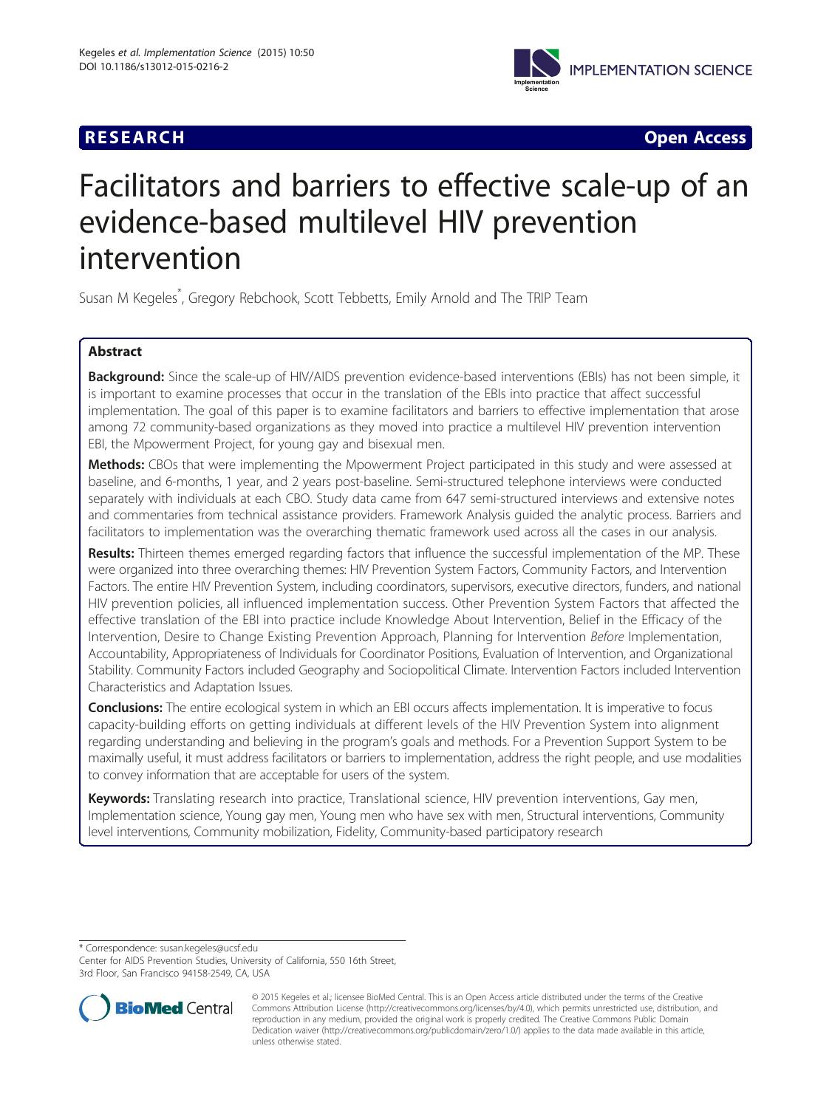



# Facilitators and barriers to effective scale-up of an evidence-based multilevel HIV prevention intervention

Susan M Kegeles\* , Gregory Rebchook, Scott Tebbetts, Emily Arnold and The TRIP Team

# Abstract

Background: Since the scale-up of HIV/AIDS prevention evidence-based interventions (EBIs) has not been simple, it is important to examine processes that occur in the translation of the EBIs into practice that affect successful implementation. The goal of this paper is to examine facilitators and barriers to effective implementation that arose among 72 community-based organizations as they moved into practice a multilevel HIV prevention intervention EBI, the Mpowerment Project, for young gay and bisexual men.

Methods: CBOs that were implementing the Mpowerment Project participated in this study and were assessed at baseline, and 6-months, 1 year, and 2 years post-baseline. Semi-structured telephone interviews were conducted separately with individuals at each CBO. Study data came from 647 semi-structured interviews and extensive notes and commentaries from technical assistance providers. Framework Analysis guided the analytic process. Barriers and facilitators to implementation was the overarching thematic framework used across all the cases in our analysis.

Results: Thirteen themes emerged regarding factors that influence the successful implementation of the MP. These were organized into three overarching themes: HIV Prevention System Factors, Community Factors, and Intervention Factors. The entire HIV Prevention System, including coordinators, supervisors, executive directors, funders, and national HIV prevention policies, all influenced implementation success. Other Prevention System Factors that affected the effective translation of the EBI into practice include Knowledge About Intervention, Belief in the Efficacy of the Intervention, Desire to Change Existing Prevention Approach, Planning for Intervention Before Implementation, Accountability, Appropriateness of Individuals for Coordinator Positions, Evaluation of Intervention, and Organizational Stability. Community Factors included Geography and Sociopolitical Climate. Intervention Factors included Intervention Characteristics and Adaptation Issues.

Conclusions: The entire ecological system in which an EBI occurs affects implementation. It is imperative to focus capacity-building efforts on getting individuals at different levels of the HIV Prevention System into alignment regarding understanding and believing in the program's goals and methods. For a Prevention Support System to be maximally useful, it must address facilitators or barriers to implementation, address the right people, and use modalities to convey information that are acceptable for users of the system.

Keywords: Translating research into practice, Translational science, HIV prevention interventions, Gay men, Implementation science, Young gay men, Young men who have sex with men, Structural interventions, Community level interventions, Community mobilization, Fidelity, Community-based participatory research

\* Correspondence: [susan.kegeles@ucsf.edu](mailto:susan.kegeles@ucsf.edu)

Center for AIDS Prevention Studies, University of California, 550 16th Street, 3rd Floor, San Francisco 94158-2549, CA, USA



<sup>© 2015</sup> Kegeles et al.; licensee BioMed Central. This is an Open Access article distributed under the terms of the Creative Commons Attribution License [\(http://creativecommons.org/licenses/by/4.0\)](http://creativecommons.org/licenses/by/4.0), which permits unrestricted use, distribution, and reproduction in any medium, provided the original work is properly credited. The Creative Commons Public Domain Dedication waiver [\(http://creativecommons.org/publicdomain/zero/1.0/](http://creativecommons.org/publicdomain/zero/1.0/)) applies to the data made available in this article, unless otherwise stated.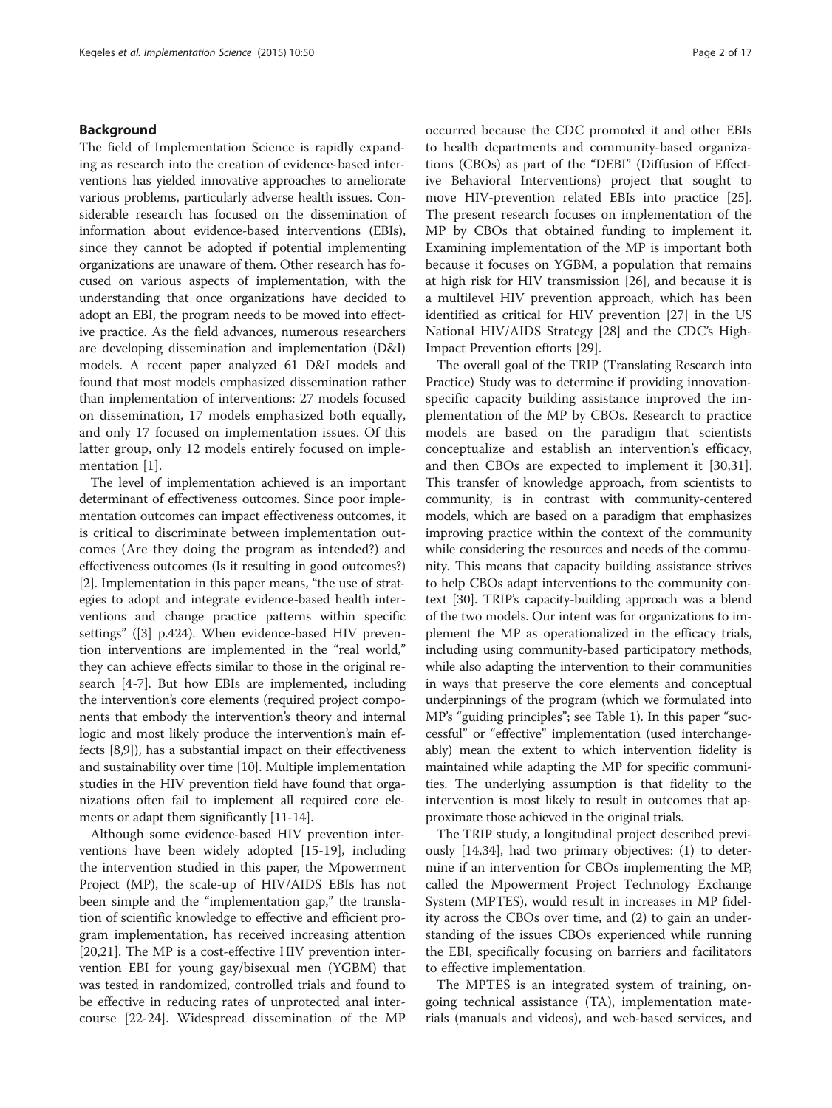## Background

The field of Implementation Science is rapidly expanding as research into the creation of evidence-based interventions has yielded innovative approaches to ameliorate various problems, particularly adverse health issues. Considerable research has focused on the dissemination of information about evidence-based interventions (EBIs), since they cannot be adopted if potential implementing organizations are unaware of them. Other research has focused on various aspects of implementation, with the understanding that once organizations have decided to adopt an EBI, the program needs to be moved into effective practice. As the field advances, numerous researchers are developing dissemination and implementation (D&I) models. A recent paper analyzed 61 D&I models and found that most models emphasized dissemination rather than implementation of interventions: 27 models focused on dissemination, 17 models emphasized both equally, and only 17 focused on implementation issues. Of this latter group, only 12 models entirely focused on implementation [[1\]](#page-15-0).

The level of implementation achieved is an important determinant of effectiveness outcomes. Since poor implementation outcomes can impact effectiveness outcomes, it is critical to discriminate between implementation outcomes (Are they doing the program as intended?) and effectiveness outcomes (Is it resulting in good outcomes?) [[2\]](#page-15-0). Implementation in this paper means, "the use of strategies to adopt and integrate evidence-based health interventions and change practice patterns within specific settings" ([\[3\]](#page-15-0) p.424). When evidence-based HIV prevention interventions are implemented in the "real world," they can achieve effects similar to those in the original research [\[4-7](#page-15-0)]. But how EBIs are implemented, including the intervention's core elements (required project components that embody the intervention's theory and internal logic and most likely produce the intervention's main effects [\[8,9](#page-15-0)]), has a substantial impact on their effectiveness and sustainability over time [[10](#page-15-0)]. Multiple implementation studies in the HIV prevention field have found that organizations often fail to implement all required core ele-ments or adapt them significantly [\[11](#page-15-0)-[14](#page-15-0)].

Although some evidence-based HIV prevention interventions have been widely adopted [\[15](#page-15-0)-[19\]](#page-15-0), including the intervention studied in this paper, the Mpowerment Project (MP), the scale-up of HIV/AIDS EBIs has not been simple and the "implementation gap," the translation of scientific knowledge to effective and efficient program implementation, has received increasing attention [[20,21\]](#page-15-0). The MP is a cost-effective HIV prevention intervention EBI for young gay/bisexual men (YGBM) that was tested in randomized, controlled trials and found to be effective in reducing rates of unprotected anal intercourse [\[22](#page-15-0)-[24\]](#page-15-0). Widespread dissemination of the MP

occurred because the CDC promoted it and other EBIs to health departments and community-based organizations (CBOs) as part of the "DEBI" (Diffusion of Effective Behavioral Interventions) project that sought to move HIV-prevention related EBIs into practice [\[25](#page-15-0)]. The present research focuses on implementation of the MP by CBOs that obtained funding to implement it. Examining implementation of the MP is important both because it focuses on YGBM, a population that remains at high risk for HIV transmission [\[26](#page-15-0)], and because it is a multilevel HIV prevention approach, which has been identified as critical for HIV prevention [\[27\]](#page-15-0) in the US National HIV/AIDS Strategy [[28\]](#page-15-0) and the CDC's High-Impact Prevention efforts [[29](#page-15-0)].

The overall goal of the TRIP (Translating Research into Practice) Study was to determine if providing innovationspecific capacity building assistance improved the implementation of the MP by CBOs. Research to practice models are based on the paradigm that scientists conceptualize and establish an intervention's efficacy, and then CBOs are expected to implement it [[30,31](#page-15-0)]. This transfer of knowledge approach, from scientists to community, is in contrast with community-centered models, which are based on a paradigm that emphasizes improving practice within the context of the community while considering the resources and needs of the community. This means that capacity building assistance strives to help CBOs adapt interventions to the community context [\[30\]](#page-15-0). TRIP's capacity-building approach was a blend of the two models. Our intent was for organizations to implement the MP as operationalized in the efficacy trials, including using community-based participatory methods, while also adapting the intervention to their communities in ways that preserve the core elements and conceptual underpinnings of the program (which we formulated into MP's "guiding principles"; see Table [1\)](#page-2-0). In this paper "successful" or "effective" implementation (used interchangeably) mean the extent to which intervention fidelity is maintained while adapting the MP for specific communities. The underlying assumption is that fidelity to the intervention is most likely to result in outcomes that approximate those achieved in the original trials.

The TRIP study, a longitudinal project described previously [\[14,34](#page-15-0)], had two primary objectives: (1) to determine if an intervention for CBOs implementing the MP, called the Mpowerment Project Technology Exchange System (MPTES), would result in increases in MP fidelity across the CBOs over time, and (2) to gain an understanding of the issues CBOs experienced while running the EBI, specifically focusing on barriers and facilitators to effective implementation.

The MPTES is an integrated system of training, ongoing technical assistance (TA), implementation materials (manuals and videos), and web-based services, and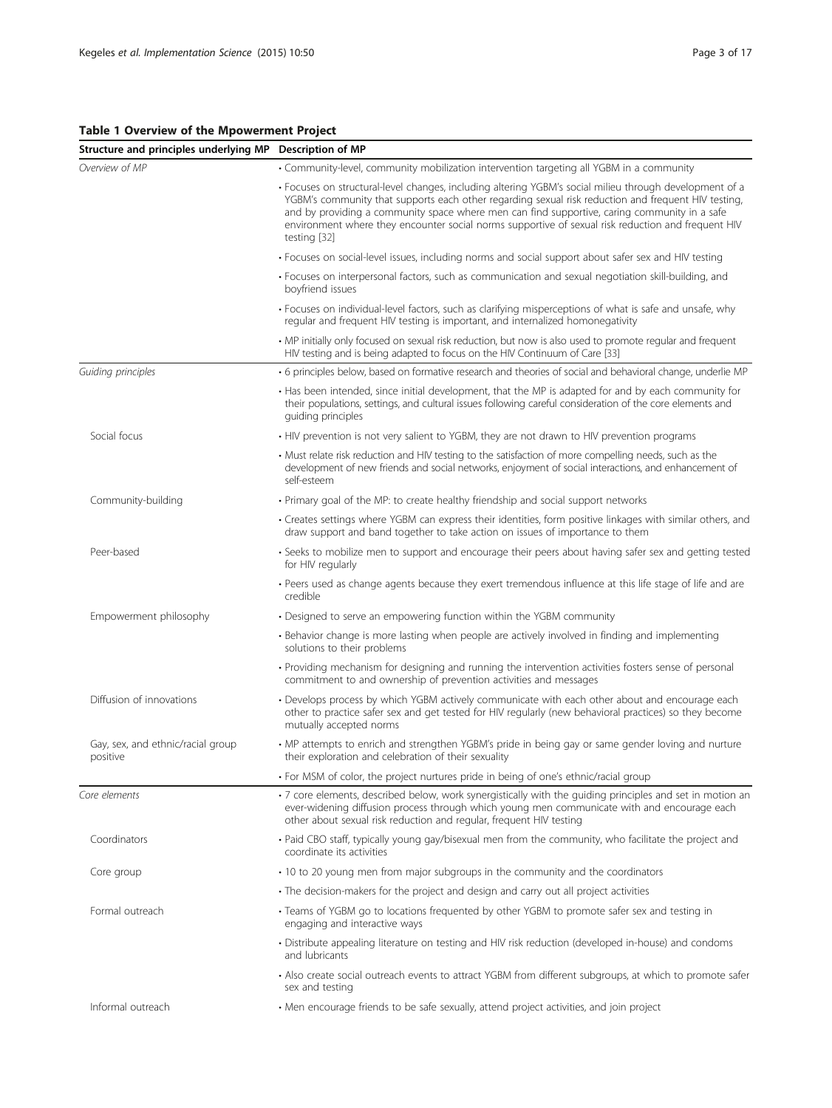# <span id="page-2-0"></span>Table 1 Overview of the Mpowerment Project

| Structure and principles underlying MP Description of MP |                                                                                                                                                                                                                                                                                                                                                                                                                                      |
|----------------------------------------------------------|--------------------------------------------------------------------------------------------------------------------------------------------------------------------------------------------------------------------------------------------------------------------------------------------------------------------------------------------------------------------------------------------------------------------------------------|
| Overview of MP                                           | • Community-level, community mobilization intervention targeting all YGBM in a community                                                                                                                                                                                                                                                                                                                                             |
|                                                          | • Focuses on structural-level changes, including altering YGBM's social milieu through development of a<br>YGBM's community that supports each other regarding sexual risk reduction and frequent HIV testing,<br>and by providing a community space where men can find supportive, caring community in a safe<br>environment where they encounter social norms supportive of sexual risk reduction and frequent HIV<br>testing [32] |
|                                                          | • Focuses on social-level issues, including norms and social support about safer sex and HIV testing                                                                                                                                                                                                                                                                                                                                 |
|                                                          | • Focuses on interpersonal factors, such as communication and sexual negotiation skill-building, and<br>boyfriend issues                                                                                                                                                                                                                                                                                                             |
|                                                          | · Focuses on individual-level factors, such as clarifying misperceptions of what is safe and unsafe, why<br>regular and frequent HIV testing is important, and internalized homonegativity                                                                                                                                                                                                                                           |
|                                                          | • MP initially only focused on sexual risk reduction, but now is also used to promote regular and frequent<br>HIV testing and is being adapted to focus on the HIV Continuum of Care [33]                                                                                                                                                                                                                                            |
| Guiding principles                                       | • 6 principles below, based on formative research and theories of social and behavioral change, underlie MP                                                                                                                                                                                                                                                                                                                          |
|                                                          | • Has been intended, since initial development, that the MP is adapted for and by each community for<br>their populations, settings, and cultural issues following careful consideration of the core elements and<br>quiding principles                                                                                                                                                                                              |
| Social focus                                             | • HIV prevention is not very salient to YGBM, they are not drawn to HIV prevention programs                                                                                                                                                                                                                                                                                                                                          |
|                                                          | • Must relate risk reduction and HIV testing to the satisfaction of more compelling needs, such as the<br>development of new friends and social networks, enjoyment of social interactions, and enhancement of<br>self-esteem                                                                                                                                                                                                        |
| Community-building                                       | • Primary goal of the MP: to create healthy friendship and social support networks                                                                                                                                                                                                                                                                                                                                                   |
|                                                          | • Creates settings where YGBM can express their identities, form positive linkages with similar others, and<br>draw support and band together to take action on issues of importance to them                                                                                                                                                                                                                                         |
| Peer-based                                               | • Seeks to mobilize men to support and encourage their peers about having safer sex and getting tested<br>for HIV regularly                                                                                                                                                                                                                                                                                                          |
|                                                          | • Peers used as change agents because they exert tremendous influence at this life stage of life and are<br>credible                                                                                                                                                                                                                                                                                                                 |
| Empowerment philosophy                                   | • Designed to serve an empowering function within the YGBM community                                                                                                                                                                                                                                                                                                                                                                 |
|                                                          | • Behavior change is more lasting when people are actively involved in finding and implementing<br>solutions to their problems                                                                                                                                                                                                                                                                                                       |
|                                                          | • Providing mechanism for designing and running the intervention activities fosters sense of personal<br>commitment to and ownership of prevention activities and messages                                                                                                                                                                                                                                                           |
| Diffusion of innovations                                 | • Develops process by which YGBM actively communicate with each other about and encourage each<br>other to practice safer sex and get tested for HIV regularly (new behavioral practices) so they become<br>mutually accepted norms                                                                                                                                                                                                  |
| Gay, sex, and ethnic/racial group<br>positive            | • MP attempts to enrich and strengthen YGBM's pride in being gay or same gender loving and nurture<br>their exploration and celebration of their sexuality                                                                                                                                                                                                                                                                           |
|                                                          | • For MSM of color, the project nurtures pride in being of one's ethnic/racial group                                                                                                                                                                                                                                                                                                                                                 |
| Core elements                                            | · 7 core elements, described below, work synergistically with the guiding principles and set in motion an<br>ever-widening diffusion process through which young men communicate with and encourage each<br>other about sexual risk reduction and regular, frequent HIV testing                                                                                                                                                      |
| Coordinators                                             | · Paid CBO staff, typically young gay/bisexual men from the community, who facilitate the project and<br>coordinate its activities                                                                                                                                                                                                                                                                                                   |
| Core group                                               | • 10 to 20 young men from major subgroups in the community and the coordinators                                                                                                                                                                                                                                                                                                                                                      |
|                                                          | • The decision-makers for the project and design and carry out all project activities                                                                                                                                                                                                                                                                                                                                                |
| Formal outreach                                          | • Teams of YGBM go to locations frequented by other YGBM to promote safer sex and testing in<br>engaging and interactive ways                                                                                                                                                                                                                                                                                                        |
|                                                          | • Distribute appealing literature on testing and HIV risk reduction (developed in-house) and condoms<br>and lubricants                                                                                                                                                                                                                                                                                                               |
|                                                          | • Also create social outreach events to attract YGBM from different subgroups, at which to promote safer<br>sex and testing                                                                                                                                                                                                                                                                                                          |
| Informal outreach                                        | • Men encourage friends to be safe sexually, attend project activities, and join project                                                                                                                                                                                                                                                                                                                                             |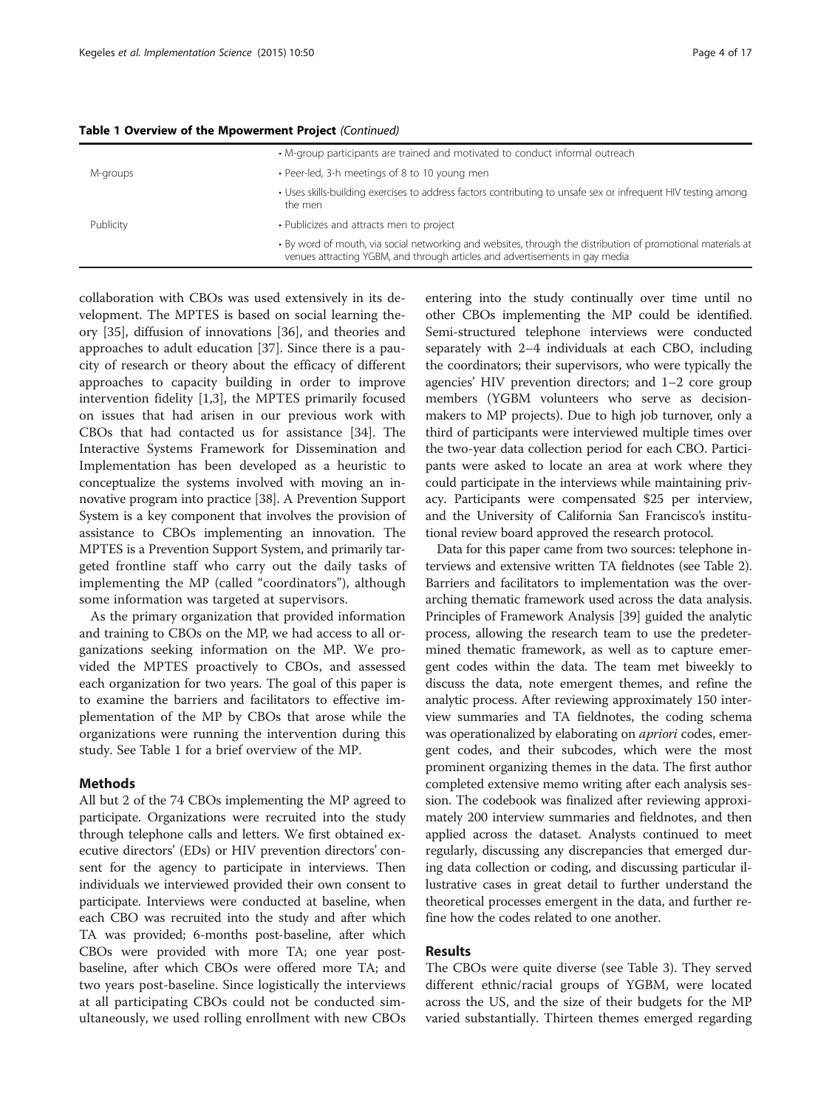|           | • M-group participants are trained and motivated to conduct informal outreach                                                                                                                |
|-----------|----------------------------------------------------------------------------------------------------------------------------------------------------------------------------------------------|
| M-groups  | • Peer-led, 3-h meetings of 8 to 10 young men                                                                                                                                                |
|           | • Uses skills-building exercises to address factors contributing to unsafe sex or infrequent HIV testing among<br>the men                                                                    |
| Publicity | • Publicizes and attracts men to project                                                                                                                                                     |
|           | • By word of mouth, via social networking and websites, through the distribution of promotional materials at<br>venues attracting YGBM, and through articles and advertisements in gay media |

Table 1 Overview of the Mpowerment Project (Continued)

collaboration with CBOs was used extensively in its development. The MPTES is based on social learning theory [[35\]](#page-15-0), diffusion of innovations [\[36](#page-15-0)], and theories and approaches to adult education [\[37](#page-15-0)]. Since there is a paucity of research or theory about the efficacy of different approaches to capacity building in order to improve intervention fidelity [\[1,3](#page-15-0)], the MPTES primarily focused on issues that had arisen in our previous work with CBOs that had contacted us for assistance [[34\]](#page-15-0). The Interactive Systems Framework for Dissemination and Implementation has been developed as a heuristic to conceptualize the systems involved with moving an innovative program into practice [\[38](#page-15-0)]. A Prevention Support System is a key component that involves the provision of assistance to CBOs implementing an innovation. The MPTES is a Prevention Support System, and primarily targeted frontline staff who carry out the daily tasks of implementing the MP (called "coordinators"), although some information was targeted at supervisors.

As the primary organization that provided information and training to CBOs on the MP, we had access to all organizations seeking information on the MP. We provided the MPTES proactively to CBOs, and assessed each organization for two years. The goal of this paper is to examine the barriers and facilitators to effective implementation of the MP by CBOs that arose while the organizations were running the intervention during this study. See Table [1](#page-2-0) for a brief overview of the MP.

# Methods

All but 2 of the 74 CBOs implementing the MP agreed to participate. Organizations were recruited into the study through telephone calls and letters. We first obtained executive directors' (EDs) or HIV prevention directors' consent for the agency to participate in interviews. Then individuals we interviewed provided their own consent to participate. Interviews were conducted at baseline, when each CBO was recruited into the study and after which TA was provided; 6-months post-baseline, after which CBOs were provided with more TA; one year postbaseline, after which CBOs were offered more TA; and two years post-baseline. Since logistically the interviews at all participating CBOs could not be conducted simultaneously, we used rolling enrollment with new CBOs entering into the study continually over time until no other CBOs implementing the MP could be identified. Semi-structured telephone interviews were conducted separately with 2–4 individuals at each CBO, including the coordinators; their supervisors, who were typically the agencies' HIV prevention directors; and 1–2 core group members (YGBM volunteers who serve as decisionmakers to MP projects). Due to high job turnover, only a third of participants were interviewed multiple times over the two-year data collection period for each CBO. Participants were asked to locate an area at work where they could participate in the interviews while maintaining privacy. Participants were compensated \$25 per interview, and the University of California San Francisco's institutional review board approved the research protocol.

Data for this paper came from two sources: telephone interviews and extensive written TA fieldnotes (see Table [2](#page-4-0)). Barriers and facilitators to implementation was the overarching thematic framework used across the data analysis. Principles of Framework Analysis [\[39\]](#page-15-0) guided the analytic process, allowing the research team to use the predetermined thematic framework, as well as to capture emergent codes within the data. The team met biweekly to discuss the data, note emergent themes, and refine the analytic process. After reviewing approximately 150 interview summaries and TA fieldnotes, the coding schema was operationalized by elaborating on *apriori* codes, emergent codes, and their subcodes, which were the most prominent organizing themes in the data. The first author completed extensive memo writing after each analysis session. The codebook was finalized after reviewing approximately 200 interview summaries and fieldnotes, and then applied across the dataset. Analysts continued to meet regularly, discussing any discrepancies that emerged during data collection or coding, and discussing particular illustrative cases in great detail to further understand the theoretical processes emergent in the data, and further refine how the codes related to one another.

## Results

The CBOs were quite diverse (see Table [3\)](#page-5-0). They served different ethnic/racial groups of YGBM, were located across the US, and the size of their budgets for the MP varied substantially. Thirteen themes emerged regarding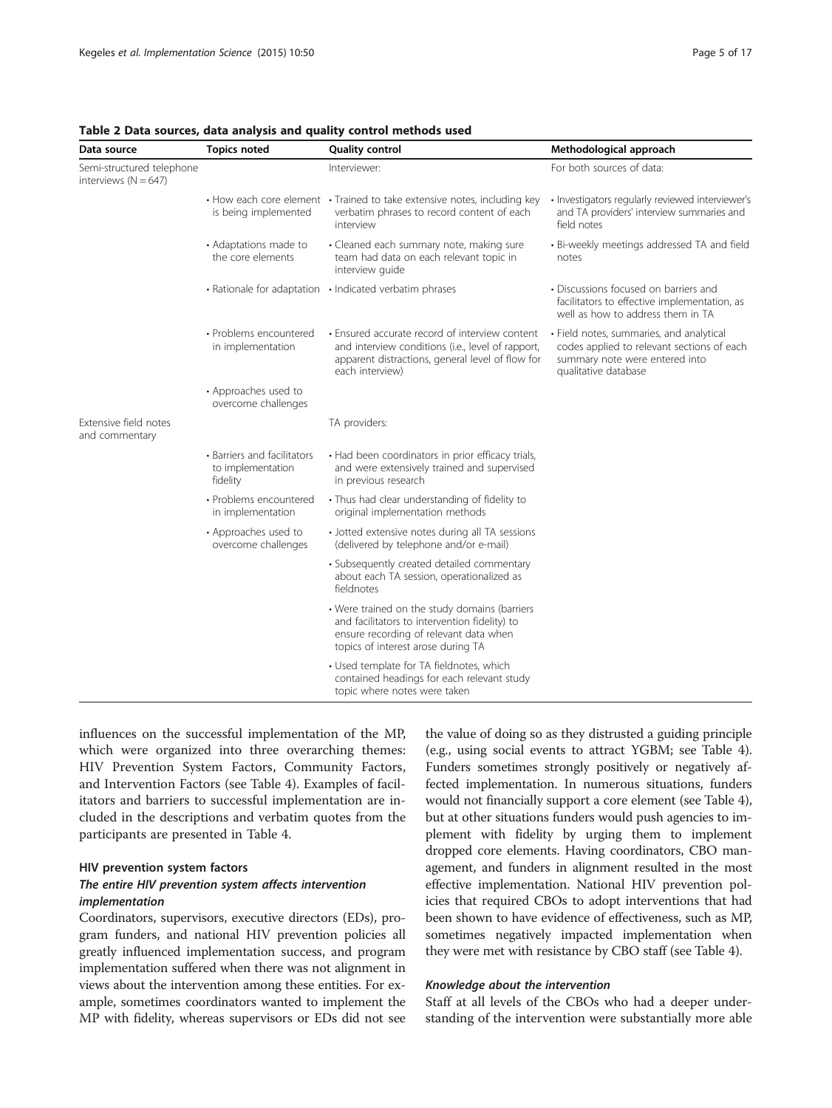| Data source                                           | <b>Topics noted</b>                                          | <b>Quality control</b>                                                                                                                                                         | Methodological approach                                                                                                                          |
|-------------------------------------------------------|--------------------------------------------------------------|--------------------------------------------------------------------------------------------------------------------------------------------------------------------------------|--------------------------------------------------------------------------------------------------------------------------------------------------|
| Semi-structured telephone<br>interviews ( $N = 647$ ) |                                                              | Interviewer:                                                                                                                                                                   | For both sources of data:                                                                                                                        |
|                                                       | is being implemented                                         | • How each core element • Trained to take extensive notes, including key<br>verbatim phrases to record content of each<br>interview                                            | · Investigators regularly reviewed interviewer's<br>and TA providers' interview summaries and<br>field notes                                     |
|                                                       | • Adaptations made to<br>the core elements                   | • Cleaned each summary note, making sure<br>team had data on each relevant topic in<br>interview quide                                                                         | • Bi-weekly meetings addressed TA and field<br>notes                                                                                             |
|                                                       |                                                              | • Rationale for adaptation • Indicated verbatim phrases                                                                                                                        | • Discussions focused on barriers and<br>facilitators to effective implementation, as<br>well as how to address them in TA                       |
|                                                       | • Problems encountered<br>in implementation                  | • Ensured accurate record of interview content<br>and interview conditions (i.e., level of rapport,<br>apparent distractions, general level of flow for<br>each interview)     | · Field notes, summaries, and analytical<br>codes applied to relevant sections of each<br>summary note were entered into<br>qualitative database |
|                                                       | • Approaches used to<br>overcome challenges                  |                                                                                                                                                                                |                                                                                                                                                  |
| Extensive field notes<br>and commentary               |                                                              | TA providers:                                                                                                                                                                  |                                                                                                                                                  |
|                                                       | • Barriers and facilitators<br>to implementation<br>fidelity | · Had been coordinators in prior efficacy trials,<br>and were extensively trained and supervised<br>in previous research                                                       |                                                                                                                                                  |
|                                                       | • Problems encountered<br>in implementation                  | • Thus had clear understanding of fidelity to<br>original implementation methods                                                                                               |                                                                                                                                                  |
|                                                       | • Approaches used to<br>overcome challenges                  | • Jotted extensive notes during all TA sessions<br>(delivered by telephone and/or e-mail)                                                                                      |                                                                                                                                                  |
|                                                       |                                                              | · Subsequently created detailed commentary<br>about each TA session, operationalized as<br>fieldnotes                                                                          |                                                                                                                                                  |
|                                                       |                                                              | • Were trained on the study domains (barriers<br>and facilitators to intervention fidelity) to<br>ensure recording of relevant data when<br>topics of interest arose during TA |                                                                                                                                                  |
|                                                       |                                                              | • Used template for TA fieldnotes, which<br>contained headings for each relevant study<br>topic where notes were taken                                                         |                                                                                                                                                  |

<span id="page-4-0"></span>

|  |  |  | Table 2 Data sources, data analysis and quality control methods used |
|--|--|--|----------------------------------------------------------------------|
|--|--|--|----------------------------------------------------------------------|

influences on the successful implementation of the MP, which were organized into three overarching themes: HIV Prevention System Factors, Community Factors, and Intervention Factors (see Table [4](#page-6-0)). Examples of facilitators and barriers to successful implementation are included in the descriptions and verbatim quotes from the participants are presented in Table [4.](#page-6-0)

## HIV prevention system factors

# The entire HIV prevention system affects intervention implementation

Coordinators, supervisors, executive directors (EDs), program funders, and national HIV prevention policies all greatly influenced implementation success, and program implementation suffered when there was not alignment in views about the intervention among these entities. For example, sometimes coordinators wanted to implement the MP with fidelity, whereas supervisors or EDs did not see

the value of doing so as they distrusted a guiding principle (e.g., using social events to attract YGBM; see Table [4](#page-6-0)). Funders sometimes strongly positively or negatively affected implementation. In numerous situations, funders would not financially support a core element (see Table [4](#page-6-0)), but at other situations funders would push agencies to implement with fidelity by urging them to implement dropped core elements. Having coordinators, CBO management, and funders in alignment resulted in the most effective implementation. National HIV prevention policies that required CBOs to adopt interventions that had been shown to have evidence of effectiveness, such as MP, sometimes negatively impacted implementation when they were met with resistance by CBO staff (see Table [4](#page-6-0)).

## Knowledge about the intervention

Staff at all levels of the CBOs who had a deeper understanding of the intervention were substantially more able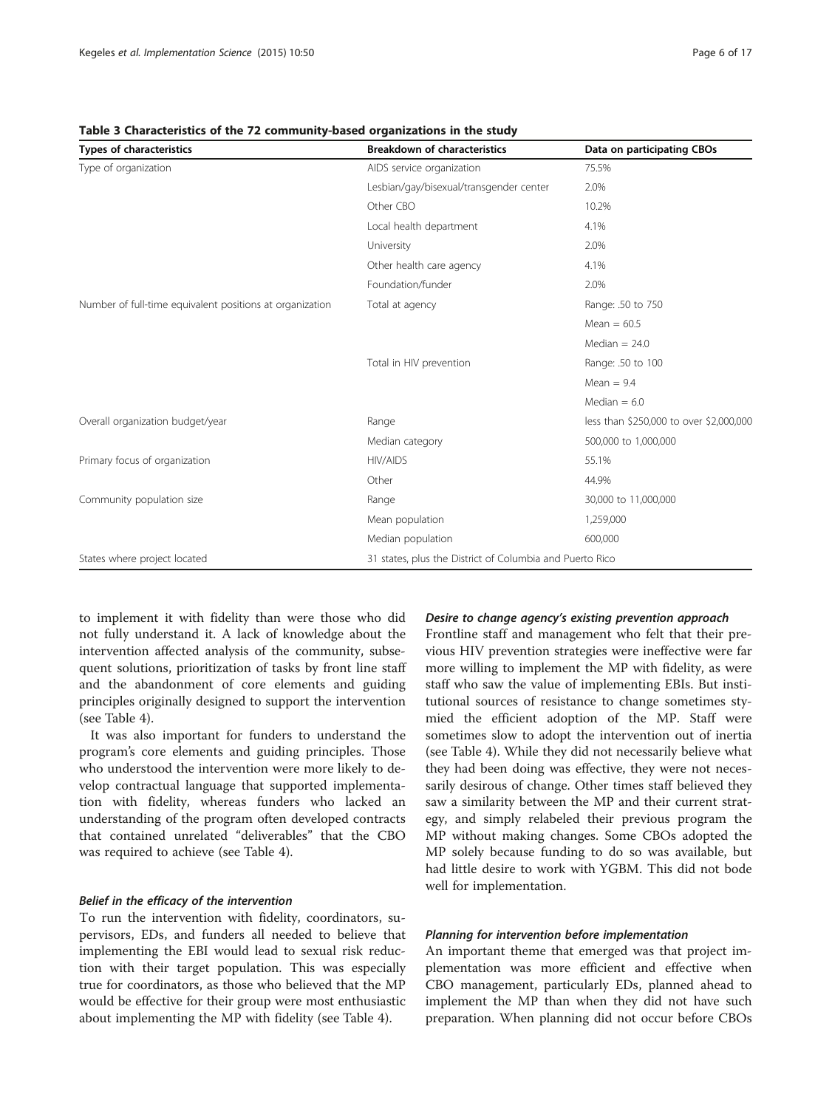| <b>Types of characteristics</b>                          | <b>Breakdown of characteristics</b>                      | Data on participating CBOs              |
|----------------------------------------------------------|----------------------------------------------------------|-----------------------------------------|
| Type of organization                                     | AIDS service organization                                | 75.5%                                   |
|                                                          | Lesbian/gay/bisexual/transgender center                  | 2.0%                                    |
|                                                          | Other CBO                                                | 10.2%                                   |
|                                                          | Local health department                                  | 4.1%                                    |
|                                                          | University                                               | 2.0%                                    |
|                                                          | Other health care agency                                 | 4.1%                                    |
|                                                          | Foundation/funder                                        | 2.0%                                    |
| Number of full-time equivalent positions at organization | Total at agency                                          | Range: .50 to 750                       |
|                                                          |                                                          | Mean = $60.5$                           |
|                                                          |                                                          | Median $= 24.0$                         |
|                                                          | Total in HIV prevention                                  | Range: .50 to 100                       |
|                                                          |                                                          | $Mean = 9.4$                            |
|                                                          |                                                          | Median $= 6.0$                          |
| Overall organization budget/year                         | Range                                                    | less than \$250,000 to over \$2,000,000 |
|                                                          | Median category                                          | 500,000 to 1,000,000                    |
| Primary focus of organization                            | <b>HIV/AIDS</b>                                          | 55.1%                                   |
|                                                          | Other                                                    | 44.9%                                   |
| Community population size                                | Range                                                    | 30,000 to 11,000,000                    |
|                                                          | Mean population                                          | 1,259,000                               |
|                                                          | Median population                                        | 600,000                                 |
| States where project located                             | 31 states, plus the District of Columbia and Puerto Rico |                                         |

<span id="page-5-0"></span>Table 3 Characteristics of the 72 community-based organizations in the study

to implement it with fidelity than were those who did not fully understand it. A lack of knowledge about the intervention affected analysis of the community, subsequent solutions, prioritization of tasks by front line staff and the abandonment of core elements and guiding principles originally designed to support the intervention (see Table [4\)](#page-6-0).

It was also important for funders to understand the program's core elements and guiding principles. Those who understood the intervention were more likely to develop contractual language that supported implementation with fidelity, whereas funders who lacked an understanding of the program often developed contracts that contained unrelated "deliverables" that the CBO was required to achieve (see Table [4](#page-6-0)).

# Belief in the efficacy of the intervention

To run the intervention with fidelity, coordinators, supervisors, EDs, and funders all needed to believe that implementing the EBI would lead to sexual risk reduction with their target population. This was especially true for coordinators, as those who believed that the MP would be effective for their group were most enthusiastic about implementing the MP with fidelity (see Table [4](#page-6-0)).

## Desire to change agency's existing prevention approach

Frontline staff and management who felt that their previous HIV prevention strategies were ineffective were far more willing to implement the MP with fidelity, as were staff who saw the value of implementing EBIs. But institutional sources of resistance to change sometimes stymied the efficient adoption of the MP. Staff were sometimes slow to adopt the intervention out of inertia (see Table [4\)](#page-6-0). While they did not necessarily believe what they had been doing was effective, they were not necessarily desirous of change. Other times staff believed they saw a similarity between the MP and their current strategy, and simply relabeled their previous program the MP without making changes. Some CBOs adopted the MP solely because funding to do so was available, but had little desire to work with YGBM. This did not bode well for implementation.

#### Planning for intervention before implementation

An important theme that emerged was that project implementation was more efficient and effective when CBO management, particularly EDs, planned ahead to implement the MP than when they did not have such preparation. When planning did not occur before CBOs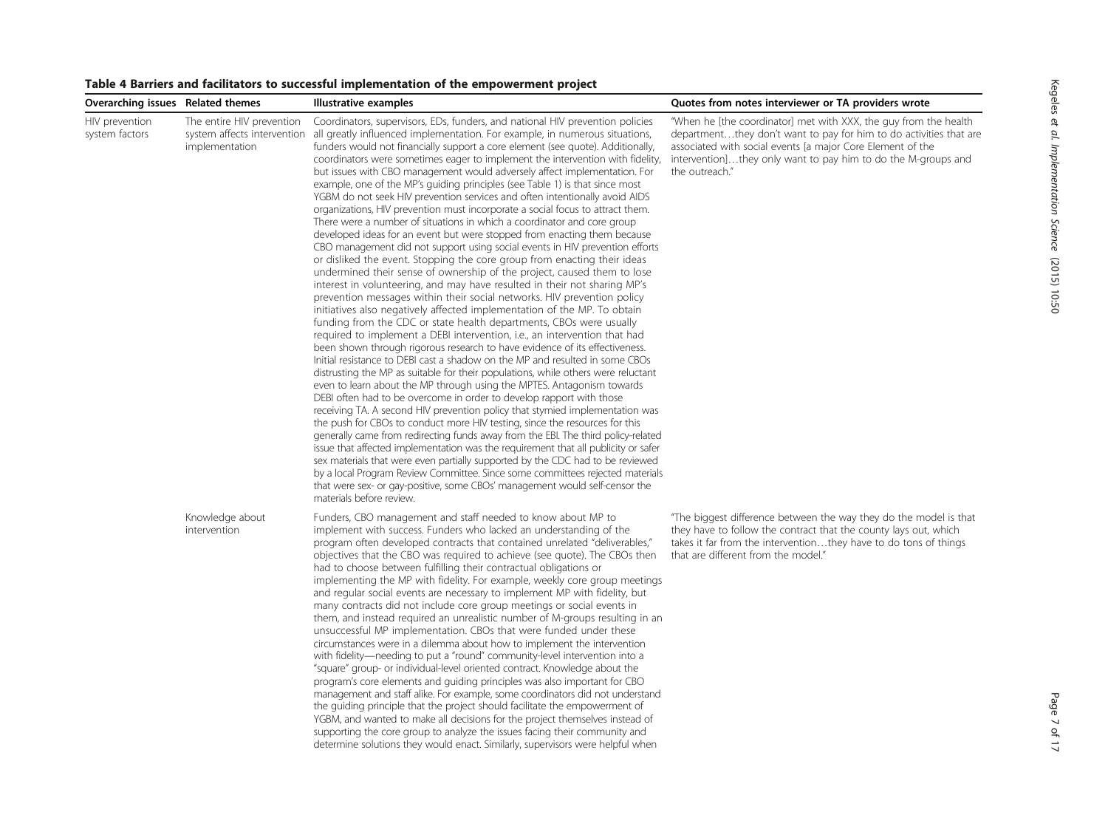| Overarching issues Related themes |                                                                            | Illustrative examples                                                                                                                                                                                                                                                                                                                                                                                                                                                                                                                                                                                                                                                                                                                                                                                                                                                                                                                                                                                                                                                                                                                                                                                                                                                                                                                                                                                                                                                                                                                                                                                                                                                                                                                                                                                                                                                                                                                                                                                                                                                                                                                                                                                                                                                                                                                                                                                                                                                               | Quotes from notes interviewer or TA providers wrote                                                                                                                                                                                                                                     |
|-----------------------------------|----------------------------------------------------------------------------|-------------------------------------------------------------------------------------------------------------------------------------------------------------------------------------------------------------------------------------------------------------------------------------------------------------------------------------------------------------------------------------------------------------------------------------------------------------------------------------------------------------------------------------------------------------------------------------------------------------------------------------------------------------------------------------------------------------------------------------------------------------------------------------------------------------------------------------------------------------------------------------------------------------------------------------------------------------------------------------------------------------------------------------------------------------------------------------------------------------------------------------------------------------------------------------------------------------------------------------------------------------------------------------------------------------------------------------------------------------------------------------------------------------------------------------------------------------------------------------------------------------------------------------------------------------------------------------------------------------------------------------------------------------------------------------------------------------------------------------------------------------------------------------------------------------------------------------------------------------------------------------------------------------------------------------------------------------------------------------------------------------------------------------------------------------------------------------------------------------------------------------------------------------------------------------------------------------------------------------------------------------------------------------------------------------------------------------------------------------------------------------------------------------------------------------------------------------------------------------|-----------------------------------------------------------------------------------------------------------------------------------------------------------------------------------------------------------------------------------------------------------------------------------------|
| HIV prevention<br>system factors  | The entire HIV prevention<br>system affects intervention<br>implementation | Coordinators, supervisors, EDs, funders, and national HIV prevention policies<br>all greatly influenced implementation. For example, in numerous situations,<br>funders would not financially support a core element (see quote). Additionally,<br>coordinators were sometimes eager to implement the intervention with fidelity,<br>but issues with CBO management would adversely affect implementation. For<br>example, one of the MP's quiding principles (see Table 1) is that since most<br>YGBM do not seek HIV prevention services and often intentionally avoid AIDS<br>organizations, HIV prevention must incorporate a social focus to attract them.<br>There were a number of situations in which a coordinator and core group<br>developed ideas for an event but were stopped from enacting them because<br>CBO management did not support using social events in HIV prevention efforts<br>or disliked the event. Stopping the core group from enacting their ideas<br>undermined their sense of ownership of the project, caused them to lose<br>interest in volunteering, and may have resulted in their not sharing MP's<br>prevention messages within their social networks. HIV prevention policy<br>initiatives also negatively affected implementation of the MP. To obtain<br>funding from the CDC or state health departments, CBOs were usually<br>required to implement a DEBI intervention, i.e., an intervention that had<br>been shown through rigorous research to have evidence of its effectiveness.<br>Initial resistance to DEBI cast a shadow on the MP and resulted in some CBOs<br>distrusting the MP as suitable for their populations, while others were reluctant<br>even to learn about the MP through using the MPTES. Antagonism towards<br>DEBI often had to be overcome in order to develop rapport with those<br>receiving TA. A second HIV prevention policy that stymied implementation was<br>the push for CBOs to conduct more HIV testing, since the resources for this<br>generally came from redirecting funds away from the EBI. The third policy-related<br>issue that affected implementation was the requirement that all publicity or safer<br>sex materials that were even partially supported by the CDC had to be reviewed<br>by a local Program Review Committee. Since some committees rejected materials<br>that were sex- or gay-positive, some CBOs' management would self-censor the<br>materials before review. | "When he [the coordinator] met with XXX, the guy from the health<br>departmentthey don't want to pay for him to do activities that are<br>associated with social events [a major Core Element of the<br>intervention]they only want to pay him to do the M-groups and<br>the outreach." |
|                                   | Knowledge about<br>intervention                                            | Funders, CBO management and staff needed to know about MP to<br>implement with success. Funders who lacked an understanding of the<br>program often developed contracts that contained unrelated "deliverables,"<br>objectives that the CBO was required to achieve (see quote). The CBOs then<br>had to choose between fulfilling their contractual obligations or<br>implementing the MP with fidelity. For example, weekly core group meetings<br>and regular social events are necessary to implement MP with fidelity, but<br>many contracts did not include core group meetings or social events in<br>them, and instead required an unrealistic number of M-groups resulting in an<br>unsuccessful MP implementation. CBOs that were funded under these<br>circumstances were in a dilemma about how to implement the intervention<br>with fidelity—needing to put a "round" community-level intervention into a<br>"square" group- or individual-level oriented contract. Knowledge about the<br>program's core elements and guiding principles was also important for CBO<br>management and staff alike. For example, some coordinators did not understand<br>the quiding principle that the project should facilitate the empowerment of<br>YGBM, and wanted to make all decisions for the project themselves instead of<br>supporting the core group to analyze the issues facing their community and<br>determine solutions they would enact. Similarly, supervisors were helpful when                                                                                                                                                                                                                                                                                                                                                                                                                                                                                                                                                                                                                                                                                                                                                                                                                                                                                                                                                                                  | "The biggest difference between the way they do the model is that<br>they have to follow the contract that the county lays out, which<br>takes it far from the interventionthey have to do tons of things<br>that are different from the model."                                        |

# <span id="page-6-0"></span>Table 4 Barriers and facilitators to successful implementation of the empowerment project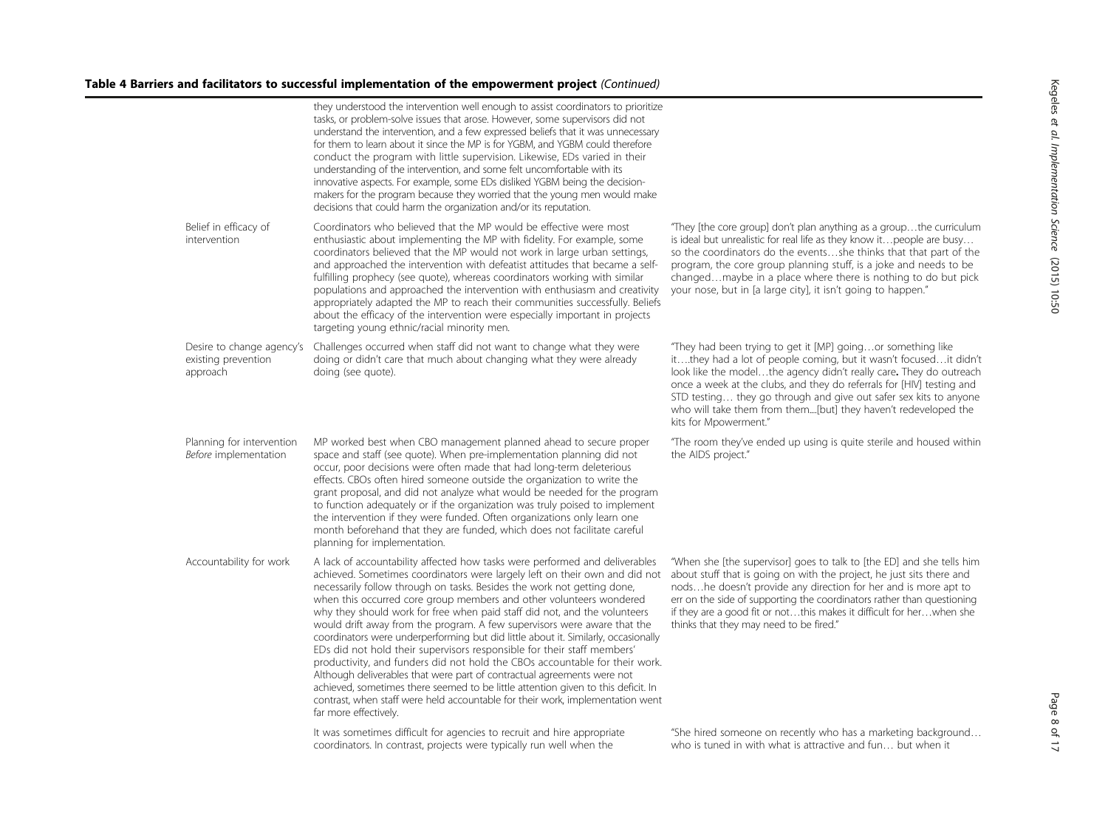# Table 4 Barriers and facilitators to successful implementation of the empowerment project (Continued)

|                                                              | they understood the intervention well enough to assist coordinators to prioritize<br>tasks, or problem-solve issues that arose. However, some supervisors did not<br>understand the intervention, and a few expressed beliefs that it was unnecessary<br>for them to learn about it since the MP is for YGBM, and YGBM could therefore<br>conduct the program with little supervision. Likewise, EDs varied in their<br>understanding of the intervention, and some felt uncomfortable with its<br>innovative aspects. For example, some EDs disliked YGBM being the decision-<br>makers for the program because they worried that the young men would make<br>decisions that could harm the organization and/or its reputation.                                                                                                                                                                                                                                                                 |                                                                                                                                                                                                                                                                                                                                                                                                                                                 |
|--------------------------------------------------------------|--------------------------------------------------------------------------------------------------------------------------------------------------------------------------------------------------------------------------------------------------------------------------------------------------------------------------------------------------------------------------------------------------------------------------------------------------------------------------------------------------------------------------------------------------------------------------------------------------------------------------------------------------------------------------------------------------------------------------------------------------------------------------------------------------------------------------------------------------------------------------------------------------------------------------------------------------------------------------------------------------|-------------------------------------------------------------------------------------------------------------------------------------------------------------------------------------------------------------------------------------------------------------------------------------------------------------------------------------------------------------------------------------------------------------------------------------------------|
| Belief in efficacy of<br>intervention                        | Coordinators who believed that the MP would be effective were most<br>enthusiastic about implementing the MP with fidelity. For example, some<br>coordinators believed that the MP would not work in large urban settings,<br>and approached the intervention with defeatist attitudes that became a self-<br>fulfilling prophecy (see quote), whereas coordinators working with similar<br>populations and approached the intervention with enthusiasm and creativity<br>appropriately adapted the MP to reach their communities successfully. Beliefs<br>about the efficacy of the intervention were especially important in projects<br>targeting young ethnic/racial minority men.                                                                                                                                                                                                                                                                                                           | "They [the core group] don't plan anything as a groupthe curriculum<br>is ideal but unrealistic for real life as they know it people are busy<br>so the coordinators do the eventsshe thinks that that part of the<br>program, the core group planning stuff, is a joke and needs to be<br>changedmaybe in a place where there is nothing to do but pick<br>your nose, but in [a large city], it isn't going to happen."                        |
| Desire to change agency's<br>existing prevention<br>approach | Challenges occurred when staff did not want to change what they were<br>doing or didn't care that much about changing what they were already<br>doing (see quote).                                                                                                                                                                                                                                                                                                                                                                                                                                                                                                                                                                                                                                                                                                                                                                                                                               | "They had been trying to get it [MP] goingor something like<br>itthey had a lot of people coming, but it wasn't focusedit didn't<br>look like the modelthe agency didn't really care. They do outreach<br>once a week at the clubs, and they do referrals for [HIV] testing and<br>STD testing they go through and give out safer sex kits to anyone<br>who will take them from them[but] they haven't redeveloped the<br>kits for Mpowerment." |
| Planning for intervention<br>Before implementation           | MP worked best when CBO management planned ahead to secure proper<br>space and staff (see quote). When pre-implementation planning did not<br>occur, poor decisions were often made that had long-term deleterious<br>effects. CBOs often hired someone outside the organization to write the<br>grant proposal, and did not analyze what would be needed for the program<br>to function adequately or if the organization was truly poised to implement<br>the intervention if they were funded. Often organizations only learn one<br>month beforehand that they are funded, which does not facilitate careful<br>planning for implementation.                                                                                                                                                                                                                                                                                                                                                 | "The room they've ended up using is quite sterile and housed within<br>the AIDS project."                                                                                                                                                                                                                                                                                                                                                       |
| Accountability for work                                      | A lack of accountability affected how tasks were performed and deliverables<br>achieved. Sometimes coordinators were largely left on their own and did not<br>necessarily follow through on tasks. Besides the work not getting done,<br>when this occurred core group members and other volunteers wondered<br>why they should work for free when paid staff did not, and the volunteers<br>would drift away from the program. A few supervisors were aware that the<br>coordinators were underperforming but did little about it. Similarly, occasionally<br>EDs did not hold their supervisors responsible for their staff members'<br>productivity, and funders did not hold the CBOs accountable for their work.<br>Although deliverables that were part of contractual agreements were not<br>achieved, sometimes there seemed to be little attention given to this deficit. In<br>contrast, when staff were held accountable for their work, implementation went<br>far more effectively. | "When she [the supervisor] goes to talk to [the ED] and she tells him<br>about stuff that is going on with the project, he just sits there and<br>nodshe doesn't provide any direction for her and is more apt to<br>err on the side of supporting the coordinators rather than questioning<br>if they are a good fit or notthis makes it difficult for herwhen she<br>thinks that they may need to be fired."                                  |
|                                                              | It was sometimes difficult for agencies to recruit and hire appropriate<br>coordinators. In contrast, projects were typically run well when the                                                                                                                                                                                                                                                                                                                                                                                                                                                                                                                                                                                                                                                                                                                                                                                                                                                  | "She hired someone on recently who has a marketing background<br>who is tuned in with what is attractive and fun but when it                                                                                                                                                                                                                                                                                                                    |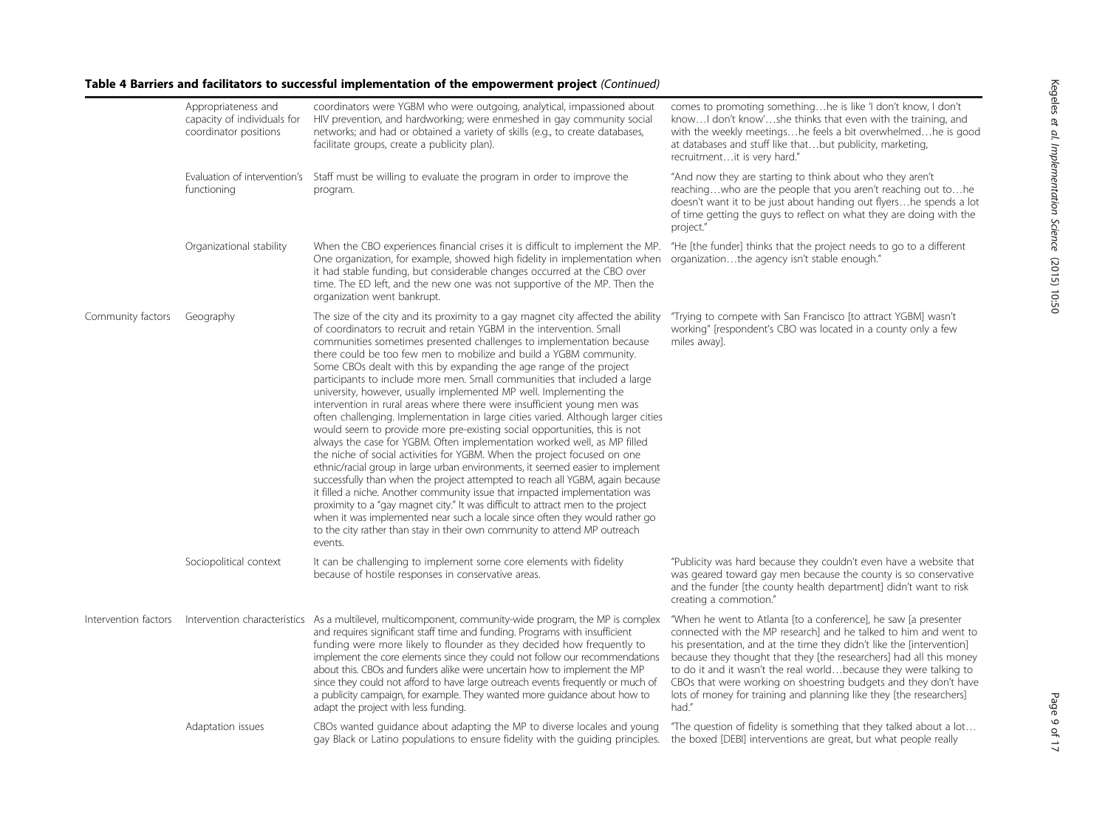# Table 4 Barriers and facilitators to successful implementation of the empowerment project (Continued)

|                      | Appropriateness and<br>capacity of individuals for<br>coordinator positions | coordinators were YGBM who were outgoing, analytical, impassioned about<br>HIV prevention, and hardworking; were enmeshed in gay community social<br>networks; and had or obtained a variety of skills (e.g., to create databases,<br>facilitate groups, create a publicity plan).                                                                                                                                                                                                                                                                                                                                                                                                                                                                                                                                                                                                                                                                                                                                                                                                                                                                                                                                                                                                                                                                                                                                                                 | comes to promoting somethinghe is like 'I don't know, I don't<br>know I don't know'she thinks that even with the training, and<br>with the weekly meetingshe feels a bit overwhelmedhe is good<br>at databases and stuff like thatbut publicity, marketing,<br>recruitmentit is very hard."                                                                                                                                                                                                                  |
|----------------------|-----------------------------------------------------------------------------|----------------------------------------------------------------------------------------------------------------------------------------------------------------------------------------------------------------------------------------------------------------------------------------------------------------------------------------------------------------------------------------------------------------------------------------------------------------------------------------------------------------------------------------------------------------------------------------------------------------------------------------------------------------------------------------------------------------------------------------------------------------------------------------------------------------------------------------------------------------------------------------------------------------------------------------------------------------------------------------------------------------------------------------------------------------------------------------------------------------------------------------------------------------------------------------------------------------------------------------------------------------------------------------------------------------------------------------------------------------------------------------------------------------------------------------------------|--------------------------------------------------------------------------------------------------------------------------------------------------------------------------------------------------------------------------------------------------------------------------------------------------------------------------------------------------------------------------------------------------------------------------------------------------------------------------------------------------------------|
|                      | Evaluation of intervention's<br>functioning                                 | Staff must be willing to evaluate the program in order to improve the<br>program.                                                                                                                                                                                                                                                                                                                                                                                                                                                                                                                                                                                                                                                                                                                                                                                                                                                                                                                                                                                                                                                                                                                                                                                                                                                                                                                                                                  | "And now they are starting to think about who they aren't<br>reachingwho are the people that you aren't reaching out tohe<br>doesn't want it to be just about handing out flyershe spends a lot<br>of time getting the guys to reflect on what they are doing with the<br>project."                                                                                                                                                                                                                          |
|                      | Organizational stability                                                    | When the CBO experiences financial crises it is difficult to implement the MP.<br>One organization, for example, showed high fidelity in implementation when<br>it had stable funding, but considerable changes occurred at the CBO over<br>time. The ED left, and the new one was not supportive of the MP. Then the<br>organization went bankrupt.                                                                                                                                                                                                                                                                                                                                                                                                                                                                                                                                                                                                                                                                                                                                                                                                                                                                                                                                                                                                                                                                                               | "He [the funder] thinks that the project needs to go to a different<br>organizationthe agency isn't stable enough."                                                                                                                                                                                                                                                                                                                                                                                          |
| Community factors    | Geography                                                                   | The size of the city and its proximity to a gay magnet city affected the ability<br>of coordinators to recruit and retain YGBM in the intervention. Small<br>communities sometimes presented challenges to implementation because<br>there could be too few men to mobilize and build a YGBM community.<br>Some CBOs dealt with this by expanding the age range of the project<br>participants to include more men. Small communities that included a large<br>university, however, usually implemented MP well. Implementing the<br>intervention in rural areas where there were insufficient young men was<br>often challenging. Implementation in large cities varied. Although larger cities<br>would seem to provide more pre-existing social opportunities, this is not<br>always the case for YGBM. Often implementation worked well, as MP filled<br>the niche of social activities for YGBM. When the project focused on one<br>ethnic/racial group in large urban environments, it seemed easier to implement<br>successfully than when the project attempted to reach all YGBM, again because<br>it filled a niche. Another community issue that impacted implementation was<br>proximity to a "gay magnet city." It was difficult to attract men to the project<br>when it was implemented near such a locale since often they would rather go<br>to the city rather than stay in their own community to attend MP outreach<br>events. | "Trying to compete with San Francisco [to attract YGBM] wasn't<br>working" [respondent's CBO was located in a county only a few<br>miles away].                                                                                                                                                                                                                                                                                                                                                              |
|                      | Sociopolitical context                                                      | It can be challenging to implement some core elements with fidelity<br>because of hostile responses in conservative areas.                                                                                                                                                                                                                                                                                                                                                                                                                                                                                                                                                                                                                                                                                                                                                                                                                                                                                                                                                                                                                                                                                                                                                                                                                                                                                                                         | "Publicity was hard because they couldn't even have a website that<br>was geared toward gay men because the county is so conservative<br>and the funder [the county health department] didn't want to risk<br>creating a commotion."                                                                                                                                                                                                                                                                         |
| Intervention factors |                                                                             | Intervention characteristics As a multilevel, multicomponent, community-wide program, the MP is complex<br>and requires significant staff time and funding. Programs with insufficient<br>funding were more likely to flounder as they decided how frequently to<br>implement the core elements since they could not follow our recommendations<br>about this. CBOs and funders alike were uncertain how to implement the MP<br>since they could not afford to have large outreach events frequently or much of<br>a publicity campaign, for example. They wanted more guidance about how to<br>adapt the project with less funding.                                                                                                                                                                                                                                                                                                                                                                                                                                                                                                                                                                                                                                                                                                                                                                                                               | "When he went to Atlanta [to a conference], he saw [a presenter<br>connected with the MP research] and he talked to him and went to<br>his presentation, and at the time they didn't like the [intervention]<br>because they thought that they [the researchers] had all this money<br>to do it and it wasn't the real worldbecause they were talking to<br>CBOs that were working on shoestring budgets and they don't have<br>lots of money for training and planning like they [the researchers]<br>had." |
|                      | Adaptation issues                                                           | CBOs wanted guidance about adapting the MP to diverse locales and young<br>gay Black or Latino populations to ensure fidelity with the quiding principles.                                                                                                                                                                                                                                                                                                                                                                                                                                                                                                                                                                                                                                                                                                                                                                                                                                                                                                                                                                                                                                                                                                                                                                                                                                                                                         | "The question of fidelity is something that they talked about a lot<br>the boxed [DEBI] interventions are great, but what people really                                                                                                                                                                                                                                                                                                                                                                      |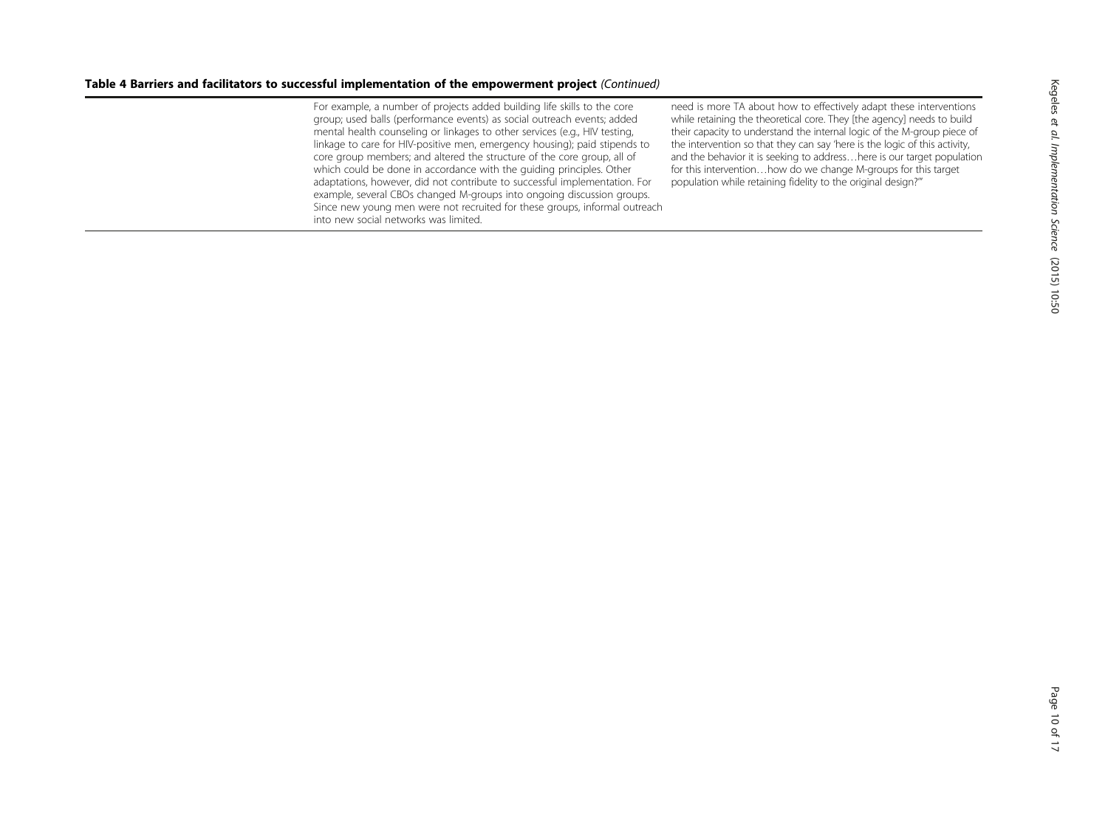## Table 4 Barriers and facilitators to successful implementation of the empowerment project (Continued)

For example, a number of projects added building life skills to the core group; used balls (performance events) as social outreach events; added mental health counseling or linkages to other services (e.g., HIV testing, linkage to care for HIV-positive men, emergency housing); paid stipends to core group members; and altered the structure of the core group, all of which could be done in accordance with the guiding principles. Other adaptations, however, did not contribute to successful implementation. For example, several CBOs changed M-groups into ongoing discussion groups. Since new young men were not recruited for these groups, informal outreach into new social networks was limited.

need is more TA about how to effectively adapt these interventions while retaining the theoretical core. They [the agency] needs to build their capacity to understand the internal logic of the M-group piece of the intervention so that they can say 'here is the logic of this activity, and the behavior it is seeking to address... here is our target population for this intervention…how do we change M-groups for this target population while retaining fidelity to the original design?'"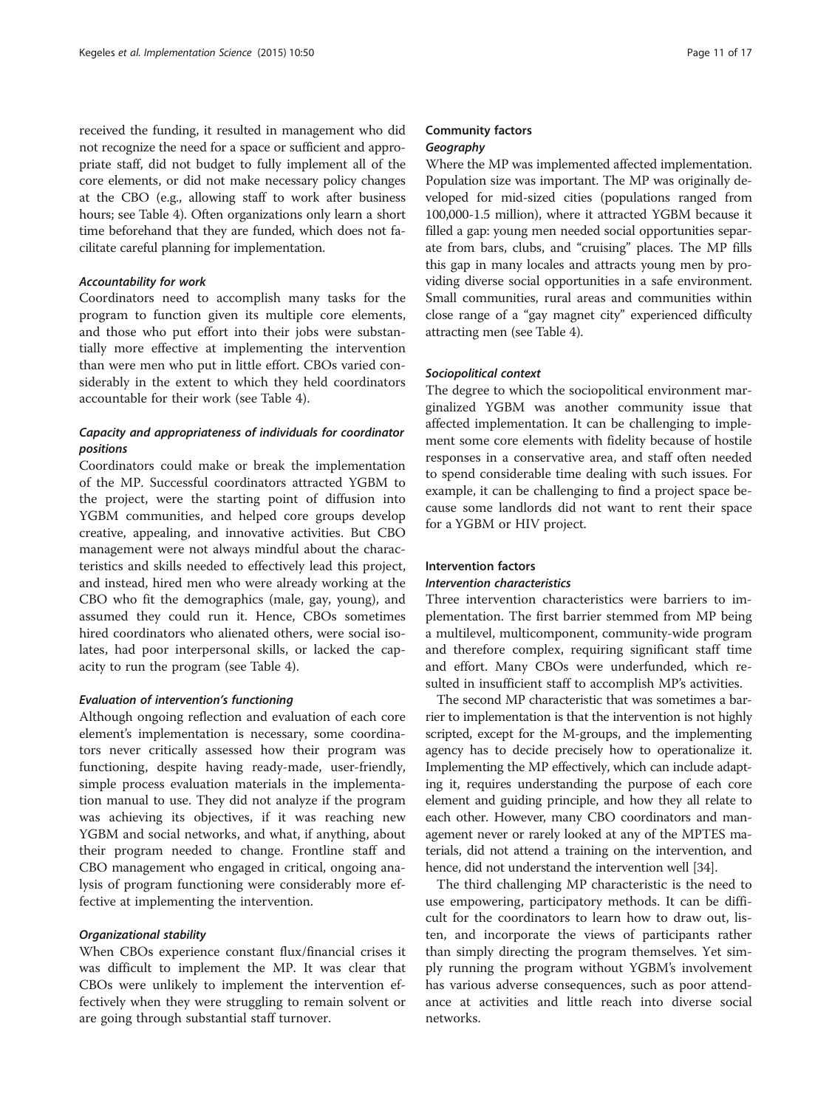received the funding, it resulted in management who did not recognize the need for a space or sufficient and appropriate staff, did not budget to fully implement all of the core elements, or did not make necessary policy changes at the CBO (e.g., allowing staff to work after business hours; see Table [4\)](#page-6-0). Often organizations only learn a short time beforehand that they are funded, which does not facilitate careful planning for implementation.

# Accountability for work

Coordinators need to accomplish many tasks for the program to function given its multiple core elements, and those who put effort into their jobs were substantially more effective at implementing the intervention than were men who put in little effort. CBOs varied considerably in the extent to which they held coordinators accountable for their work (see Table [4\)](#page-6-0).

# Capacity and appropriateness of individuals for coordinator positions

Coordinators could make or break the implementation of the MP. Successful coordinators attracted YGBM to the project, were the starting point of diffusion into YGBM communities, and helped core groups develop creative, appealing, and innovative activities. But CBO management were not always mindful about the characteristics and skills needed to effectively lead this project, and instead, hired men who were already working at the CBO who fit the demographics (male, gay, young), and assumed they could run it. Hence, CBOs sometimes hired coordinators who alienated others, were social isolates, had poor interpersonal skills, or lacked the capacity to run the program (see Table [4\)](#page-6-0).

#### Evaluation of intervention's functioning

Although ongoing reflection and evaluation of each core element's implementation is necessary, some coordinators never critically assessed how their program was functioning, despite having ready-made, user-friendly, simple process evaluation materials in the implementation manual to use. They did not analyze if the program was achieving its objectives, if it was reaching new YGBM and social networks, and what, if anything, about their program needed to change. Frontline staff and CBO management who engaged in critical, ongoing analysis of program functioning were considerably more effective at implementing the intervention.

#### Organizational stability

When CBOs experience constant flux/financial crises it was difficult to implement the MP. It was clear that CBOs were unlikely to implement the intervention effectively when they were struggling to remain solvent or are going through substantial staff turnover.

## Community factors **Geography**

Where the MP was implemented affected implementation. Population size was important. The MP was originally developed for mid-sized cities (populations ranged from 100,000-1.5 million), where it attracted YGBM because it filled a gap: young men needed social opportunities separate from bars, clubs, and "cruising" places. The MP fills this gap in many locales and attracts young men by providing diverse social opportunities in a safe environment. Small communities, rural areas and communities within close range of a "gay magnet city" experienced difficulty attracting men (see Table [4\)](#page-6-0).

#### Sociopolitical context

The degree to which the sociopolitical environment marginalized YGBM was another community issue that affected implementation. It can be challenging to implement some core elements with fidelity because of hostile responses in a conservative area, and staff often needed to spend considerable time dealing with such issues. For example, it can be challenging to find a project space because some landlords did not want to rent their space for a YGBM or HIV project.

## Intervention factors

## Intervention characteristics

Three intervention characteristics were barriers to implementation. The first barrier stemmed from MP being a multilevel, multicomponent, community-wide program and therefore complex, requiring significant staff time and effort. Many CBOs were underfunded, which resulted in insufficient staff to accomplish MP's activities.

The second MP characteristic that was sometimes a barrier to implementation is that the intervention is not highly scripted, except for the M-groups, and the implementing agency has to decide precisely how to operationalize it. Implementing the MP effectively, which can include adapting it, requires understanding the purpose of each core element and guiding principle, and how they all relate to each other. However, many CBO coordinators and management never or rarely looked at any of the MPTES materials, did not attend a training on the intervention, and hence, did not understand the intervention well [\[34\]](#page-15-0).

The third challenging MP characteristic is the need to use empowering, participatory methods. It can be difficult for the coordinators to learn how to draw out, listen, and incorporate the views of participants rather than simply directing the program themselves. Yet simply running the program without YGBM's involvement has various adverse consequences, such as poor attendance at activities and little reach into diverse social networks.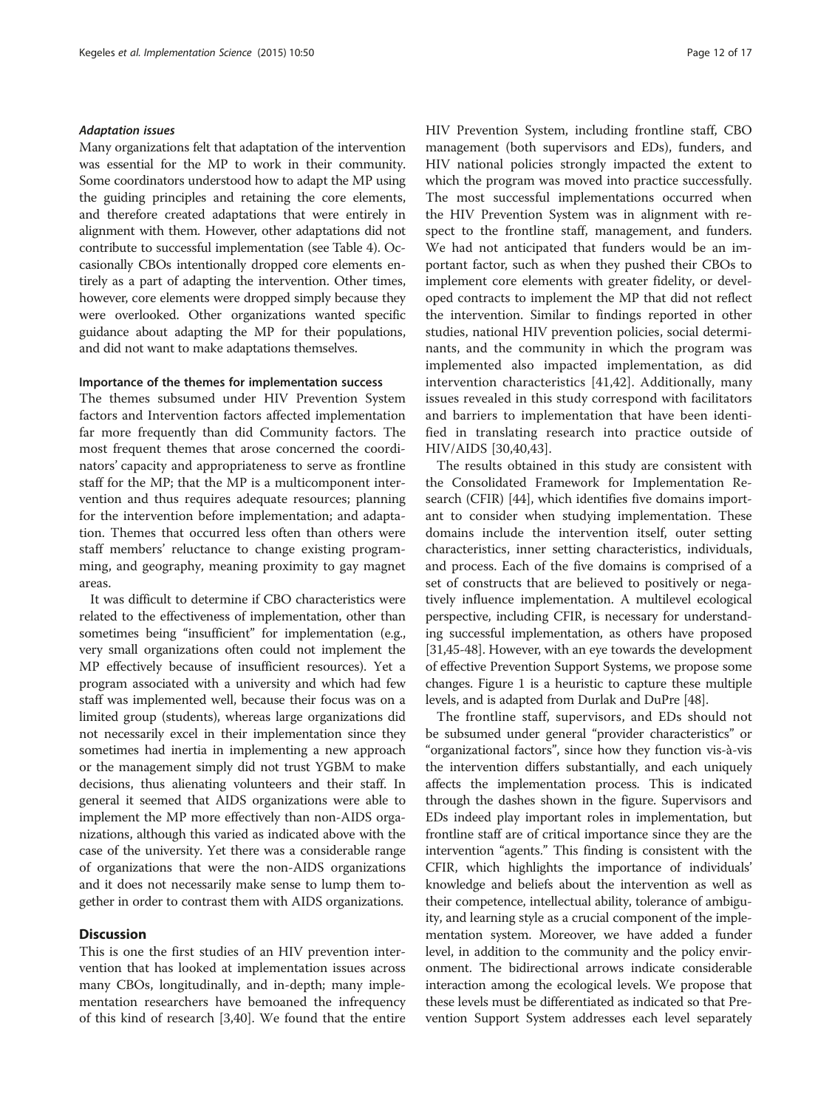#### Adaptation issues

Many organizations felt that adaptation of the intervention was essential for the MP to work in their community. Some coordinators understood how to adapt the MP using the guiding principles and retaining the core elements, and therefore created adaptations that were entirely in alignment with them. However, other adaptations did not contribute to successful implementation (see Table [4](#page-6-0)). Occasionally CBOs intentionally dropped core elements entirely as a part of adapting the intervention. Other times, however, core elements were dropped simply because they were overlooked. Other organizations wanted specific guidance about adapting the MP for their populations, and did not want to make adaptations themselves.

## Importance of the themes for implementation success

The themes subsumed under HIV Prevention System factors and Intervention factors affected implementation far more frequently than did Community factors. The most frequent themes that arose concerned the coordinators' capacity and appropriateness to serve as frontline staff for the MP; that the MP is a multicomponent intervention and thus requires adequate resources; planning for the intervention before implementation; and adaptation. Themes that occurred less often than others were staff members' reluctance to change existing programming, and geography, meaning proximity to gay magnet areas.

It was difficult to determine if CBO characteristics were related to the effectiveness of implementation, other than sometimes being "insufficient" for implementation (e.g., very small organizations often could not implement the MP effectively because of insufficient resources). Yet a program associated with a university and which had few staff was implemented well, because their focus was on a limited group (students), whereas large organizations did not necessarily excel in their implementation since they sometimes had inertia in implementing a new approach or the management simply did not trust YGBM to make decisions, thus alienating volunteers and their staff. In general it seemed that AIDS organizations were able to implement the MP more effectively than non-AIDS organizations, although this varied as indicated above with the case of the university. Yet there was a considerable range of organizations that were the non-AIDS organizations and it does not necessarily make sense to lump them together in order to contrast them with AIDS organizations.

# **Discussion**

This is one the first studies of an HIV prevention intervention that has looked at implementation issues across many CBOs, longitudinally, and in-depth; many implementation researchers have bemoaned the infrequency of this kind of research [\[3,40](#page-15-0)]. We found that the entire HIV Prevention System, including frontline staff, CBO management (both supervisors and EDs), funders, and HIV national policies strongly impacted the extent to which the program was moved into practice successfully. The most successful implementations occurred when the HIV Prevention System was in alignment with respect to the frontline staff, management, and funders. We had not anticipated that funders would be an important factor, such as when they pushed their CBOs to implement core elements with greater fidelity, or developed contracts to implement the MP that did not reflect the intervention. Similar to findings reported in other studies, national HIV prevention policies, social determinants, and the community in which the program was implemented also impacted implementation, as did intervention characteristics [[41,42\]](#page-15-0). Additionally, many issues revealed in this study correspond with facilitators and barriers to implementation that have been identified in translating research into practice outside of HIV/AIDS [\[30,40](#page-15-0),[43\]](#page-15-0).

The results obtained in this study are consistent with the Consolidated Framework for Implementation Research (CFIR) [\[44\]](#page-16-0), which identifies five domains important to consider when studying implementation. These domains include the intervention itself, outer setting characteristics, inner setting characteristics, individuals, and process. Each of the five domains is comprised of a set of constructs that are believed to positively or negatively influence implementation. A multilevel ecological perspective, including CFIR, is necessary for understanding successful implementation, as others have proposed [[31](#page-15-0),[45](#page-16-0)-[48](#page-16-0)]. However, with an eye towards the development of effective Prevention Support Systems, we propose some changes. Figure [1](#page-12-0) is a heuristic to capture these multiple levels, and is adapted from Durlak and DuPre [[48](#page-16-0)].

The frontline staff, supervisors, and EDs should not be subsumed under general "provider characteristics" or "organizational factors", since how they function vis-à-vis the intervention differs substantially, and each uniquely affects the implementation process. This is indicated through the dashes shown in the figure. Supervisors and EDs indeed play important roles in implementation, but frontline staff are of critical importance since they are the intervention "agents." This finding is consistent with the CFIR, which highlights the importance of individuals' knowledge and beliefs about the intervention as well as their competence, intellectual ability, tolerance of ambiguity, and learning style as a crucial component of the implementation system. Moreover, we have added a funder level, in addition to the community and the policy environment. The bidirectional arrows indicate considerable interaction among the ecological levels. We propose that these levels must be differentiated as indicated so that Prevention Support System addresses each level separately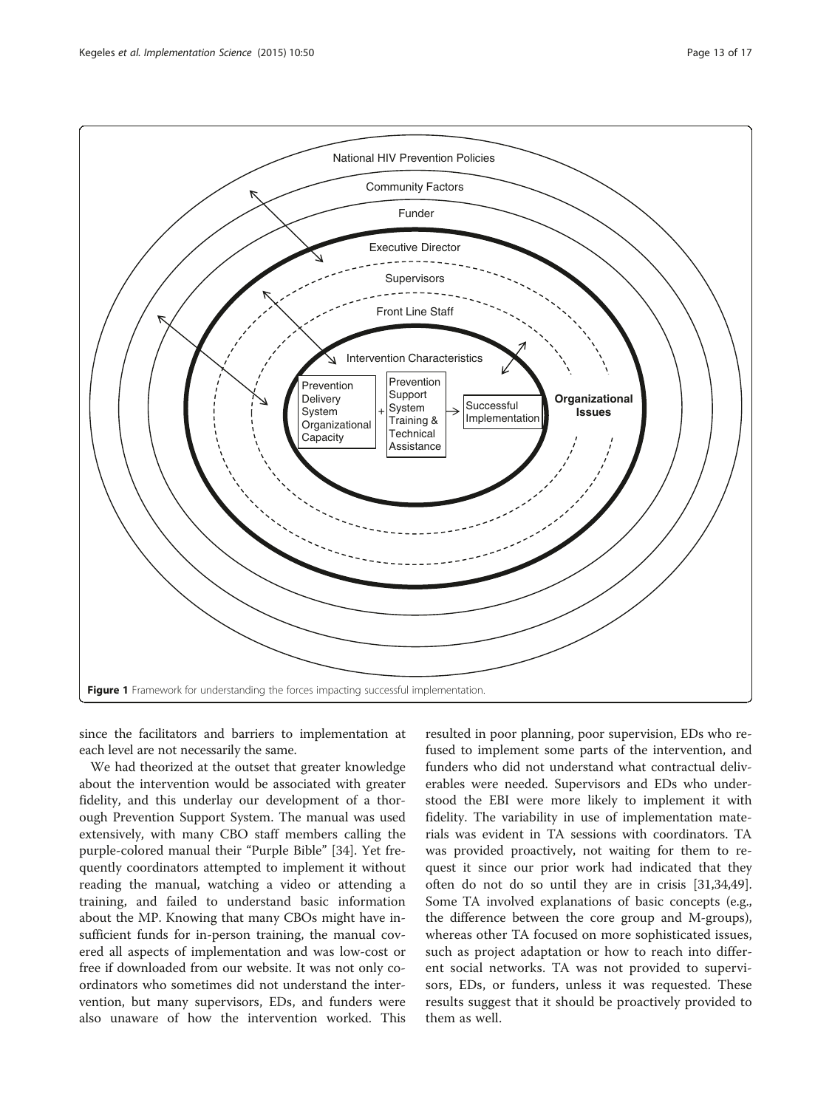

<span id="page-12-0"></span>

since the facilitators and barriers to implementation at each level are not necessarily the same.

We had theorized at the outset that greater knowledge about the intervention would be associated with greater fidelity, and this underlay our development of a thorough Prevention Support System. The manual was used extensively, with many CBO staff members calling the purple-colored manual their "Purple Bible" [[34](#page-15-0)]. Yet frequently coordinators attempted to implement it without reading the manual, watching a video or attending a training, and failed to understand basic information about the MP. Knowing that many CBOs might have insufficient funds for in-person training, the manual covered all aspects of implementation and was low-cost or free if downloaded from our website. It was not only coordinators who sometimes did not understand the intervention, but many supervisors, EDs, and funders were also unaware of how the intervention worked. This resulted in poor planning, poor supervision, EDs who refused to implement some parts of the intervention, and funders who did not understand what contractual deliverables were needed. Supervisors and EDs who understood the EBI were more likely to implement it with fidelity. The variability in use of implementation materials was evident in TA sessions with coordinators. TA was provided proactively, not waiting for them to request it since our prior work had indicated that they often do not do so until they are in crisis [[31,34](#page-15-0)[,49](#page-16-0)]. Some TA involved explanations of basic concepts (e.g., the difference between the core group and M-groups), whereas other TA focused on more sophisticated issues, such as project adaptation or how to reach into different social networks. TA was not provided to supervisors, EDs, or funders, unless it was requested. These results suggest that it should be proactively provided to them as well.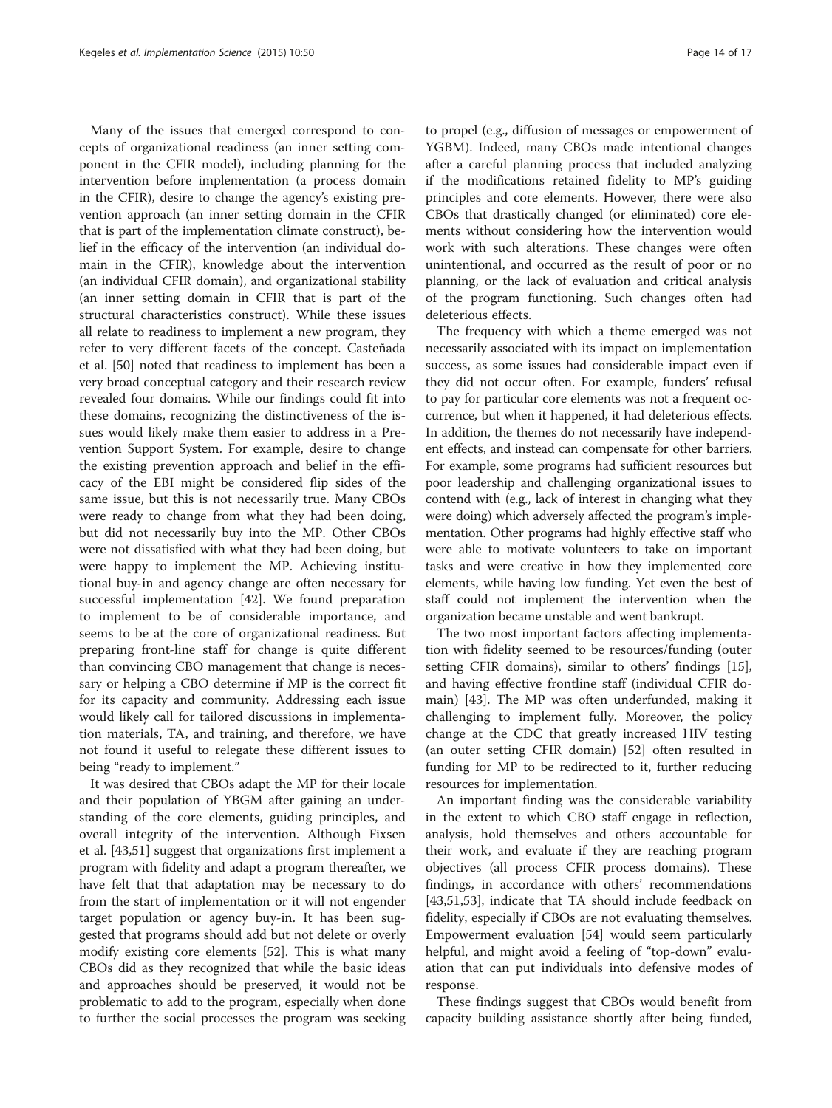Many of the issues that emerged correspond to concepts of organizational readiness (an inner setting component in the CFIR model), including planning for the intervention before implementation (a process domain in the CFIR), desire to change the agency's existing prevention approach (an inner setting domain in the CFIR that is part of the implementation climate construct), belief in the efficacy of the intervention (an individual domain in the CFIR), knowledge about the intervention (an individual CFIR domain), and organizational stability (an inner setting domain in CFIR that is part of the structural characteristics construct). While these issues all relate to readiness to implement a new program, they refer to very different facets of the concept. Casteñada et al. [\[50](#page-16-0)] noted that readiness to implement has been a very broad conceptual category and their research review revealed four domains. While our findings could fit into these domains, recognizing the distinctiveness of the issues would likely make them easier to address in a Prevention Support System. For example, desire to change the existing prevention approach and belief in the efficacy of the EBI might be considered flip sides of the same issue, but this is not necessarily true. Many CBOs were ready to change from what they had been doing, but did not necessarily buy into the MP. Other CBOs were not dissatisfied with what they had been doing, but were happy to implement the MP. Achieving institutional buy-in and agency change are often necessary for successful implementation [\[42\]](#page-15-0). We found preparation to implement to be of considerable importance, and seems to be at the core of organizational readiness. But preparing front-line staff for change is quite different than convincing CBO management that change is necessary or helping a CBO determine if MP is the correct fit for its capacity and community. Addressing each issue would likely call for tailored discussions in implementation materials, TA, and training, and therefore, we have not found it useful to relegate these different issues to being "ready to implement."

It was desired that CBOs adapt the MP for their locale and their population of YBGM after gaining an understanding of the core elements, guiding principles, and overall integrity of the intervention. Although Fixsen et al. [\[43](#page-15-0)[,51](#page-16-0)] suggest that organizations first implement a program with fidelity and adapt a program thereafter, we have felt that that adaptation may be necessary to do from the start of implementation or it will not engender target population or agency buy-in. It has been suggested that programs should add but not delete or overly modify existing core elements [\[52](#page-16-0)]. This is what many CBOs did as they recognized that while the basic ideas and approaches should be preserved, it would not be problematic to add to the program, especially when done to further the social processes the program was seeking

to propel (e.g., diffusion of messages or empowerment of YGBM). Indeed, many CBOs made intentional changes after a careful planning process that included analyzing if the modifications retained fidelity to MP's guiding principles and core elements. However, there were also CBOs that drastically changed (or eliminated) core elements without considering how the intervention would work with such alterations. These changes were often unintentional, and occurred as the result of poor or no planning, or the lack of evaluation and critical analysis of the program functioning. Such changes often had deleterious effects.

The frequency with which a theme emerged was not necessarily associated with its impact on implementation success, as some issues had considerable impact even if they did not occur often. For example, funders' refusal to pay for particular core elements was not a frequent occurrence, but when it happened, it had deleterious effects. In addition, the themes do not necessarily have independent effects, and instead can compensate for other barriers. For example, some programs had sufficient resources but poor leadership and challenging organizational issues to contend with (e.g., lack of interest in changing what they were doing) which adversely affected the program's implementation. Other programs had highly effective staff who were able to motivate volunteers to take on important tasks and were creative in how they implemented core elements, while having low funding. Yet even the best of staff could not implement the intervention when the organization became unstable and went bankrupt.

The two most important factors affecting implementation with fidelity seemed to be resources/funding (outer setting CFIR domains), similar to others' findings [\[15](#page-15-0)], and having effective frontline staff (individual CFIR domain) [[43\]](#page-15-0). The MP was often underfunded, making it challenging to implement fully. Moreover, the policy change at the CDC that greatly increased HIV testing (an outer setting CFIR domain) [\[52](#page-16-0)] often resulted in funding for MP to be redirected to it, further reducing resources for implementation.

An important finding was the considerable variability in the extent to which CBO staff engage in reflection, analysis, hold themselves and others accountable for their work, and evaluate if they are reaching program objectives (all process CFIR process domains). These findings, in accordance with others' recommendations [[43,](#page-15-0)[51,53\]](#page-16-0), indicate that TA should include feedback on fidelity, especially if CBOs are not evaluating themselves. Empowerment evaluation [\[54](#page-16-0)] would seem particularly helpful, and might avoid a feeling of "top-down" evaluation that can put individuals into defensive modes of response.

These findings suggest that CBOs would benefit from capacity building assistance shortly after being funded,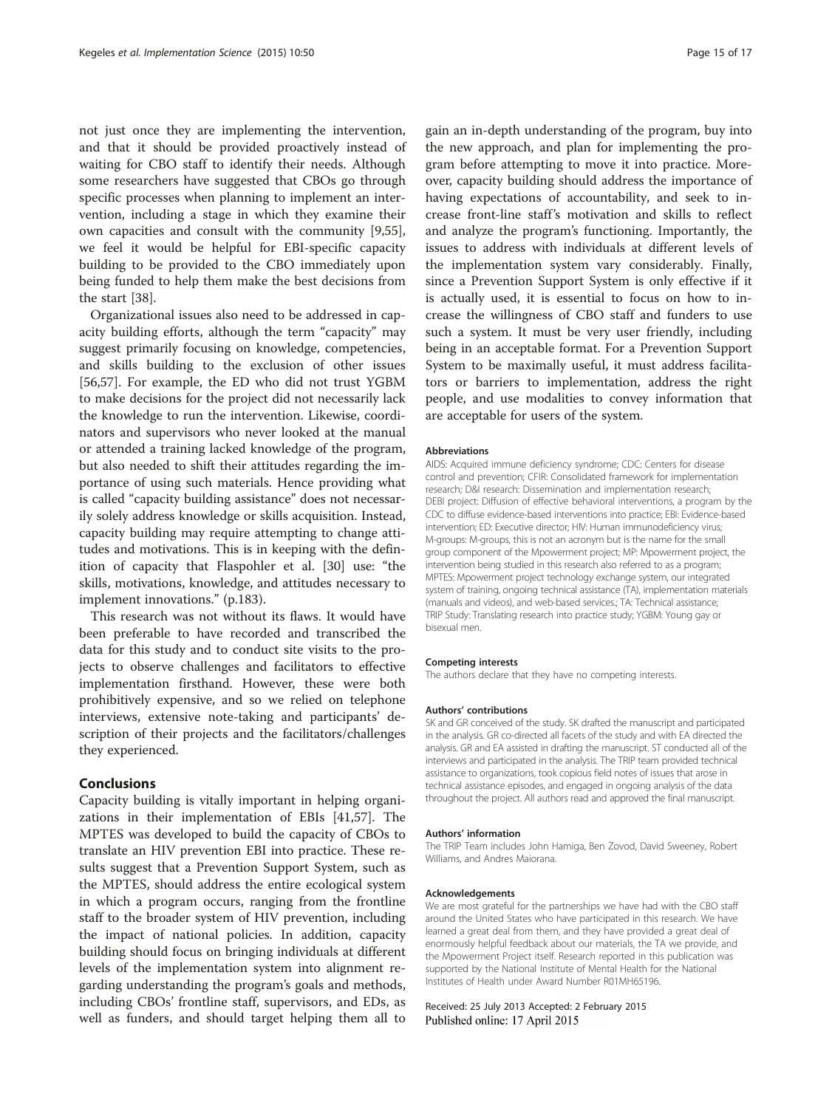not just once they are implementing the intervention, and that it should be provided proactively instead of waiting for CBO staff to identify their needs. Although some researchers have suggested that CBOs go through specific processes when planning to implement an intervention, including a stage in which they examine their own capacities and consult with the community [\[9](#page-15-0)[,55](#page-16-0)], we feel it would be helpful for EBI-specific capacity building to be provided to the CBO immediately upon being funded to help them make the best decisions from the start [[38\]](#page-15-0).

Organizational issues also need to be addressed in capacity building efforts, although the term "capacity" may suggest primarily focusing on knowledge, competencies, and skills building to the exclusion of other issues [[56,57\]](#page-16-0). For example, the ED who did not trust YGBM to make decisions for the project did not necessarily lack the knowledge to run the intervention. Likewise, coordinators and supervisors who never looked at the manual or attended a training lacked knowledge of the program, but also needed to shift their attitudes regarding the importance of using such materials. Hence providing what is called "capacity building assistance" does not necessarily solely address knowledge or skills acquisition. Instead, capacity building may require attempting to change attitudes and motivations. This is in keeping with the definition of capacity that Flaspohler et al. [\[30\]](#page-15-0) use: "the skills, motivations, knowledge, and attitudes necessary to implement innovations." (p.183).

This research was not without its flaws. It would have been preferable to have recorded and transcribed the data for this study and to conduct site visits to the projects to observe challenges and facilitators to effective implementation firsthand. However, these were both prohibitively expensive, and so we relied on telephone interviews, extensive note-taking and participants' description of their projects and the facilitators/challenges they experienced.

# Conclusions

Capacity building is vitally important in helping organizations in their implementation of EBIs [[41](#page-15-0)[,57](#page-16-0)]. The MPTES was developed to build the capacity of CBOs to translate an HIV prevention EBI into practice. These results suggest that a Prevention Support System, such as the MPTES, should address the entire ecological system in which a program occurs, ranging from the frontline staff to the broader system of HIV prevention, including the impact of national policies. In addition, capacity building should focus on bringing individuals at different levels of the implementation system into alignment regarding understanding the program's goals and methods, including CBOs' frontline staff, supervisors, and EDs, as well as funders, and should target helping them all to

gain an in-depth understanding of the program, buy into the new approach, and plan for implementing the program before attempting to move it into practice. Moreover, capacity building should address the importance of having expectations of accountability, and seek to increase front-line staff's motivation and skills to reflect and analyze the program's functioning. Importantly, the issues to address with individuals at different levels of the implementation system vary considerably. Finally, since a Prevention Support System is only effective if it is actually used, it is essential to focus on how to increase the willingness of CBO staff and funders to use such a system. It must be very user friendly, including being in an acceptable format. For a Prevention Support System to be maximally useful, it must address facilitators or barriers to implementation, address the right people, and use modalities to convey information that are acceptable for users of the system.

#### Abbreviations

AIDS: Acquired immune deficiency syndrome; CDC: Centers for disease control and prevention; CFIR: Consolidated framework for implementation research; D&I research: Dissemination and implementation research; DEBI project: Diffusion of effective behavioral interventions, a program by the CDC to diffuse evidence-based interventions into practice; EBI: Evidence-based intervention; ED: Executive director; HIV: Human immunodeficiency virus; M-groups: M-groups, this is not an acronym but is the name for the small group component of the Mpowerment project; MP: Mpowerment project, the intervention being studied in this research also referred to as a program; MPTES: Mpowerment project technology exchange system, our integrated system of training, ongoing technical assistance (TA), implementation materials (manuals and videos), and web-based services.; TA: Technical assistance; TRIP Study: Translating research into practice study; YGBM: Young gay or bisexual men.

#### Competing interests

The authors declare that they have no competing interests.

#### Authors' contributions

SK and GR conceived of the study. SK drafted the manuscript and participated in the analysis. GR co-directed all facets of the study and with EA directed the analysis. GR and EA assisted in drafting the manuscript. ST conducted all of the interviews and participated in the analysis. The TRIP team provided technical assistance to organizations, took copious field notes of issues that arose in technical assistance episodes, and engaged in ongoing analysis of the data throughout the project. All authors read and approved the final manuscript.

#### Authors' information

The TRIP Team includes John Hamiga, Ben Zovod, David Sweeney, Robert Williams, and Andres Maiorana.

#### Acknowledgements

We are most grateful for the partnerships we have had with the CBO staff around the United States who have participated in this research. We have learned a great deal from them, and they have provided a great deal of enormously helpful feedback about our materials, the TA we provide, and the Mpowerment Project itself. Research reported in this publication was supported by the National Institute of Mental Health for the National Institutes of Health under Award Number R01MH65196.

#### Received: 25 July 2013 Accepted: 2 February 2015 Published online: 17 April 2015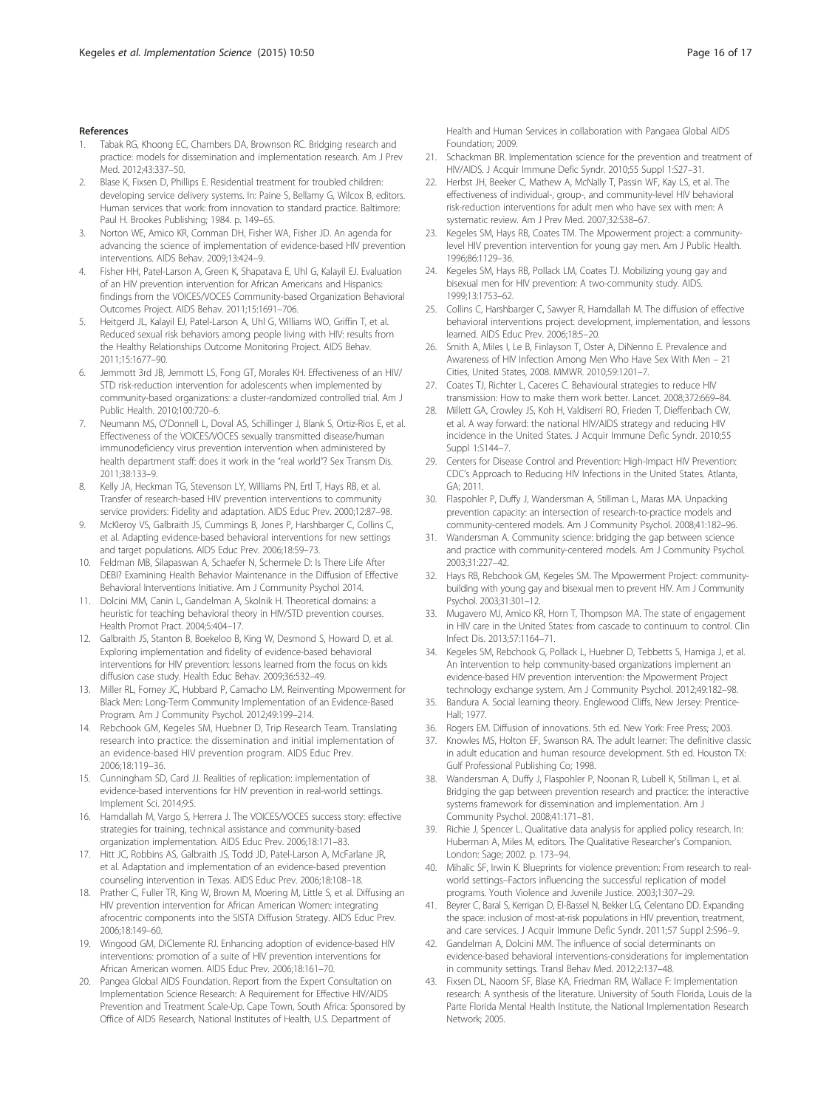#### <span id="page-15-0"></span>References

- 1. Tabak RG, Khoong EC, Chambers DA, Brownson RC. Bridging research and practice: models for dissemination and implementation research. Am J Prev Med. 2012;43:337–50.
- 2. Blase K, Fixsen D, Phillips E. Residential treatment for troubled children: developing service delivery systems. In: Paine S, Bellamy G, Wilcox B, editors. Human services that work: from innovation to standard practice. Baltimore: Paul H. Brookes Publishing; 1984. p. 149–65.
- 3. Norton WE, Amico KR, Cornman DH, Fisher WA, Fisher JD. An agenda for advancing the science of implementation of evidence-based HIV prevention interventions. AIDS Behav. 2009;13:424–9.
- 4. Fisher HH, Patel-Larson A, Green K, Shapatava E, Uhl G, Kalayil EJ. Evaluation of an HIV prevention intervention for African Americans and Hispanics: findings from the VOICES/VOCES Community-based Organization Behavioral Outcomes Project. AIDS Behav. 2011;15:1691–706.
- 5. Heitgerd JL, Kalayil EJ, Patel-Larson A, Uhl G, Williams WO, Griffin T, et al. Reduced sexual risk behaviors among people living with HIV: results from the Healthy Relationships Outcome Monitoring Project. AIDS Behav. 2011;15:1677–90.
- 6. Jemmott 3rd JB, Jemmott LS, Fong GT, Morales KH. Effectiveness of an HIV/ STD risk-reduction intervention for adolescents when implemented by community-based organizations: a cluster-randomized controlled trial. Am J Public Health. 2010;100:720–6.
- 7. Neumann MS, O'Donnell L, Doval AS, Schillinger J, Blank S, Ortiz-Rios E, et al. Effectiveness of the VOICES/VOCES sexually transmitted disease/human immunodeficiency virus prevention intervention when administered by health department staff: does it work in the "real world"? Sex Transm Dis. 2011;38:133–9.
- Kelly JA, Heckman TG, Stevenson LY, Williams PN, Ertl T, Hays RB, et al. Transfer of research-based HIV prevention interventions to community service providers: Fidelity and adaptation. AIDS Educ Prev. 2000;12:87–98.
- 9. McKleroy VS, Galbraith JS, Cummings B, Jones P, Harshbarger C, Collins C, et al. Adapting evidence-based behavioral interventions for new settings and target populations. AIDS Educ Prev. 2006;18:59–73.
- 10. Feldman MB, Silapaswan A, Schaefer N, Schermele D: Is There Life After DEBI? Examining Health Behavior Maintenance in the Diffusion of Effective Behavioral Interventions Initiative. Am J Community Psychol 2014.
- 11. Dolcini MM, Canin L, Gandelman A, Skolnik H. Theoretical domains: a heuristic for teaching behavioral theory in HIV/STD prevention courses. Health Promot Pract. 2004;5:404–17.
- 12. Galbraith JS, Stanton B, Boekeloo B, King W, Desmond S, Howard D, et al. Exploring implementation and fidelity of evidence-based behavioral interventions for HIV prevention: lessons learned from the focus on kids diffusion case study. Health Educ Behav. 2009;36:532–49.
- 13. Miller RL, Forney JC, Hubbard P, Camacho LM. Reinventing Mpowerment for Black Men: Long-Term Community Implementation of an Evidence-Based Program. Am J Community Psychol. 2012;49:199–214.
- 14. Rebchook GM, Kegeles SM, Huebner D, Trip Research Team. Translating research into practice: the dissemination and initial implementation of an evidence-based HIV prevention program. AIDS Educ Prev. 2006;18:119–36.
- 15. Cunningham SD, Card JJ. Realities of replication: implementation of evidence-based interventions for HIV prevention in real-world settings. Implement Sci. 2014;9:5.
- 16. Hamdallah M, Vargo S, Herrera J. The VOICES/VOCES success story: effective strategies for training, technical assistance and community-based organization implementation. AIDS Educ Prev. 2006;18:171–83.
- 17. Hitt JC, Robbins AS, Galbraith JS, Todd JD, Patel-Larson A, McFarlane JR, et al. Adaptation and implementation of an evidence-based prevention counseling intervention in Texas. AIDS Educ Prev. 2006;18:108–18.
- 18. Prather C, Fuller TR, King W, Brown M, Moering M, Little S, et al. Diffusing an HIV prevention intervention for African American Women: integrating afrocentric components into the SISTA Diffusion Strategy. AIDS Educ Prev. 2006;18:149–60.
- 19. Wingood GM, DiClemente RJ. Enhancing adoption of evidence-based HIV interventions: promotion of a suite of HIV prevention interventions for African American women. AIDS Educ Prev. 2006;18:161–70.
- 20. Pangea Global AIDS Foundation. Report from the Expert Consultation on Implementation Science Research: A Requirement for Effective HIV/AIDS Prevention and Treatment Scale-Up. Cape Town, South Africa: Sponsored by Office of AIDS Research, National Institutes of Health, U.S. Department of

Health and Human Services in collaboration with Pangaea Global AIDS Foundation; 2009.

- 21. Schackman BR. Implementation science for the prevention and treatment of HIV/AIDS. J Acquir Immune Defic Syndr. 2010;55 Suppl 1:S27–31.
- 22. Herbst JH, Beeker C, Mathew A, McNally T, Passin WF, Kay LS, et al. The effectiveness of individual-, group-, and community-level HIV behavioral risk-reduction interventions for adult men who have sex with men: A systematic review. Am J Prev Med. 2007;32:S38–67.
- 23. Kegeles SM, Hays RB, Coates TM. The Mpowerment project: a communitylevel HIV prevention intervention for young gay men. Am J Public Health. 1996;86:1129–36.
- 24. Kegeles SM, Hays RB, Pollack LM, Coates TJ. Mobilizing young gay and bisexual men for HIV prevention: A two-community study. AIDS. 1999;13:1753–62.
- 25. Collins C, Harshbarger C, Sawyer R, Hamdallah M. The diffusion of effective behavioral interventions project: development, implementation, and lessons learned. AIDS Educ Prev. 2006;18:5–20.
- 26. Smith A, Miles I, Le B, Finlayson T, Oster A, DiNenno E. Prevalence and Awareness of HIV Infection Among Men Who Have Sex With Men – 21 Cities, United States, 2008. MMWR. 2010;59:1201–7.
- 27. Coates TJ, Richter L, Caceres C. Behavioural strategies to reduce HIV transmission: How to make them work better. Lancet. 2008;372:669–84.
- 28. Millett GA, Crowley JS, Koh H, Valdiserri RO, Frieden T, Dieffenbach CW, et al. A way forward: the national HIV/AIDS strategy and reducing HIV incidence in the United States. J Acquir Immune Defic Syndr. 2010;55 Suppl 1:S144–7.
- 29. Centers for Disease Control and Prevention: High-Impact HIV Prevention: CDC's Approach to Reducing HIV Infections in the United States. Atlanta, GA; 2011.
- 30. Flaspohler P, Duffy J, Wandersman A, Stillman L, Maras MA. Unpacking prevention capacity: an intersection of research-to-practice models and community-centered models. Am J Community Psychol. 2008;41:182–96.
- 31. Wandersman A. Community science: bridging the gap between science and practice with community-centered models. Am J Community Psychol. 2003;31:227–42.
- 32. Hays RB, Rebchook GM, Kegeles SM. The Mpowerment Project: communitybuilding with young gay and bisexual men to prevent HIV. Am J Community Psychol. 2003;31:301–12.
- 33. Mugavero MJ, Amico KR, Horn T, Thompson MA. The state of engagement in HIV care in the United States: from cascade to continuum to control. Clin Infect Dis. 2013;57:1164–71.
- 34. Kegeles SM, Rebchook G, Pollack L, Huebner D, Tebbetts S, Hamiga J, et al. An intervention to help community-based organizations implement an evidence-based HIV prevention intervention: the Mpowerment Project technology exchange system. Am J Community Psychol. 2012;49:182–98.
- 35. Bandura A. Social learning theory. Englewood Cliffs, New Jersey: Prentice-Hall; 1977.
- 36. Rogers EM. Diffusion of innovations. 5th ed. New York: Free Press; 2003.
- 37. Knowles MS, Holton EF, Swanson RA. The adult learner: The definitive classic in adult education and human resource development. 5th ed. Houston TX: Gulf Professional Publishing Co; 1998.
- 38. Wandersman A, Duffy J, Flaspohler P, Noonan R, Lubell K, Stillman L, et al. Bridging the gap between prevention research and practice: the interactive systems framework for dissemination and implementation. Am J Community Psychol. 2008;41:171–81.
- 39. Richie J, Spencer L. Qualitative data analysis for applied policy research. In: Huberman A, Miles M, editors. The Qualitative Researcher's Companion. London: Sage; 2002. p. 173–94.
- 40. Mihalic SF, Irwin K. Blueprints for violence prevention: From research to realworld settings–Factors influencing the successful replication of model programs. Youth Violence and Juvenile Justice. 2003;1:307–29.
- 41. Beyrer C, Baral S, Kerrigan D, El-Bassel N, Bekker LG, Celentano DD. Expanding the space: inclusion of most-at-risk populations in HIV prevention, treatment, and care services. J Acquir Immune Defic Syndr. 2011;57 Suppl 2:S96–9.
- 42. Gandelman A, Dolcini MM. The influence of social determinants on evidence-based behavioral interventions-considerations for implementation in community settings. Transl Behav Med. 2012;2:137–48.
- 43. Fixsen DL, Naoom SF, Blase KA, Friedman RM, Wallace F: Implementation research: A synthesis of the literature. University of South Florida, Louis de la Parte Florida Mental Health Institute, the National Implementation Research Network; 2005.